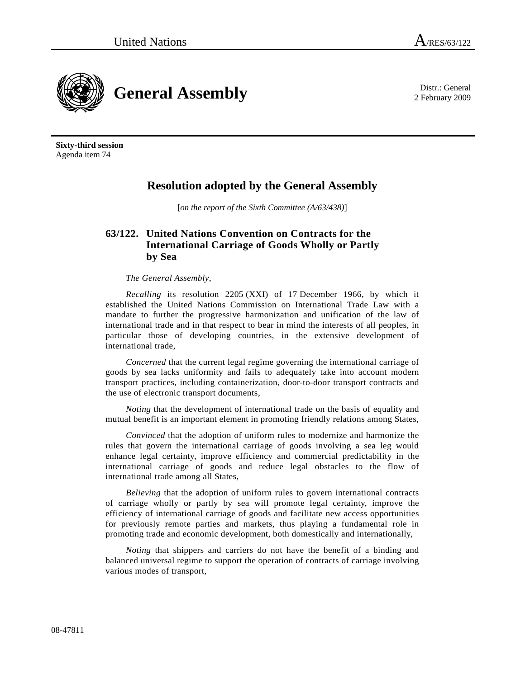2 February 2009



**Sixty-third session**  Agenda item 74

# **Resolution adopted by the General Assembly**

[*on the report of the Sixth Committee (A/63/438)*]

# **63/122. United Nations Convention on Contracts for the International Carriage of Goods Wholly or Partly by Sea**

# *The General Assembly*,

*Recalling* its resolution 2205 (XXI) of 17 December 1966, by which it established the United Nations Commission on International Trade Law with a mandate to further the progressive harmonization and unification of the law of international trade and in that respect to bear in mind the interests of all peoples, in particular those of developing countries, in the extensive development of international trade,

*Concerned* that the current legal regime governing the international carriage of goods by sea lacks uniformity and fails to adequately take into account modern transport practices, including containerization, door-to-door transport contracts and the use of electronic transport documents,

*Noting* that the development of international trade on the basis of equality and mutual benefit is an important element in promoting friendly relations among States,

*Convinced* that the adoption of uniform rules to modernize and harmonize the rules that govern the international carriage of goods involving a sea leg would enhance legal certainty, improve efficiency and commercial predictability in the international carriage of goods and reduce legal obstacles to the flow of international trade among all States,

*Believing* that the adoption of uniform rules to govern international contracts of carriage wholly or partly by sea will promote legal certainty, improve the efficiency of international carriage of goods and facilitate new access opportunities for previously remote parties and markets, thus playing a fundamental role in promoting trade and economic development, both domestically and internationally,

*Noting* that shippers and carriers do not have the benefit of a binding and balanced universal regime to support the operation of contracts of carriage involving various modes of transport,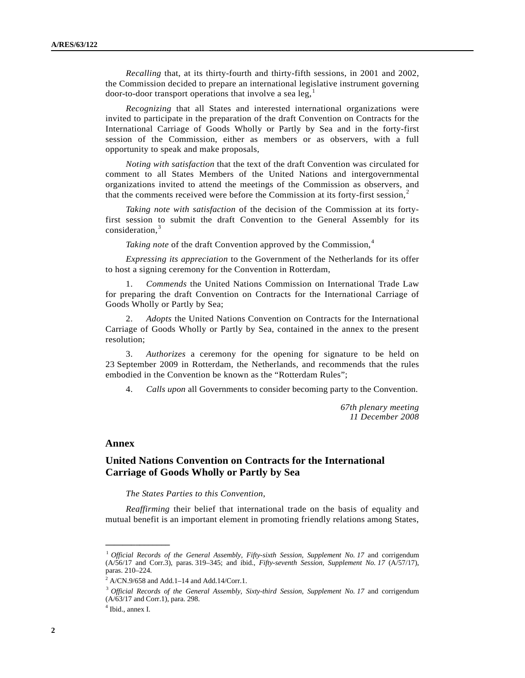*Recalling* that, at its thirty-fourth and thirty-fifth sessions, in 2001 and 2002, the Commission decided to prepare an international legislative instrument governing door-to-door transport operations that involve a sea leg, $<sup>1</sup>$  $<sup>1</sup>$  $<sup>1</sup>$ </sup>

*Recognizing* that all States and interested international organizations were invited to participate in the preparation of the draft Convention on Contracts for the International Carriage of Goods Wholly or Partly by Sea and in the forty-first session of the Commission, either as members or as observers, with a full opportunity to speak and make proposals,

*Noting with satisfaction* that the text of the draft Convention was circulated for comment to all States Members of the United Nations and intergovernmental organizations invited to attend the meetings of the Commission as observers, and that the comments received were before the Commission at its forty-first session, $<sup>2</sup>$  $<sup>2</sup>$  $<sup>2</sup>$ </sup>

*Taking note with satisfaction* of the decision of the Commission at its fortyfirst session to submit the draft Convention to the General Assembly for its consideration,<sup>[3](#page-1-2)</sup>

*Taking note* of the draft Convention approved by the Commission.<sup>[4](#page-1-3)</sup>

*Expressing its appreciation* to the Government of the Netherlands for its offer to host a signing ceremony for the Convention in Rotterdam,

 1. *Commends* the United Nations Commission on International Trade Law for preparing the draft Convention on Contracts for the International Carriage of Goods Wholly or Partly by Sea;

 2. *Adopts* the United Nations Convention on Contracts for the International Carriage of Goods Wholly or Partly by Sea, contained in the annex to the present resolution;

 3. *Authorizes* a ceremony for the opening for signature to be held on 23 September 2009 in Rotterdam, the Netherlands, and recommends that the rules embodied in the Convention be known as the "Rotterdam Rules";

4. *Calls upon* all Governments to consider becoming party to the Convention.

*67th plenary meeting 11 December 2008* 

# **Annex**

# **United Nations Convention on Contracts for the International Carriage of Goods Wholly or Partly by Sea**

*The States Parties to this Convention*,

*Reaffirming* their belief that international trade on the basis of equality and mutual benefit is an important element in promoting friendly relations among States,

**\_\_\_\_\_\_\_\_\_\_\_\_\_\_\_** 

<span id="page-1-0"></span><sup>1</sup> *Official Records of the General Assembly, Fifty-sixth Session, Supplement No. 17* and corrigendum (A/56/17 and Corr.3), paras. 319–345; and ibid., *Fifty-seventh Session, Supplement No. 17* (A/57/17), paras. 210–224.

 $^2$  A/CN.9/658 and Add.1–14 and Add.14/Corr.1.

<span id="page-1-2"></span><span id="page-1-1"></span><sup>3</sup> *Official Records of the General Assembly, Sixty-third Session, Supplement No. 17* and corrigendum (A/63/17 and Corr.1), para. 298.

<span id="page-1-3"></span><sup>4</sup> Ibid., annex I.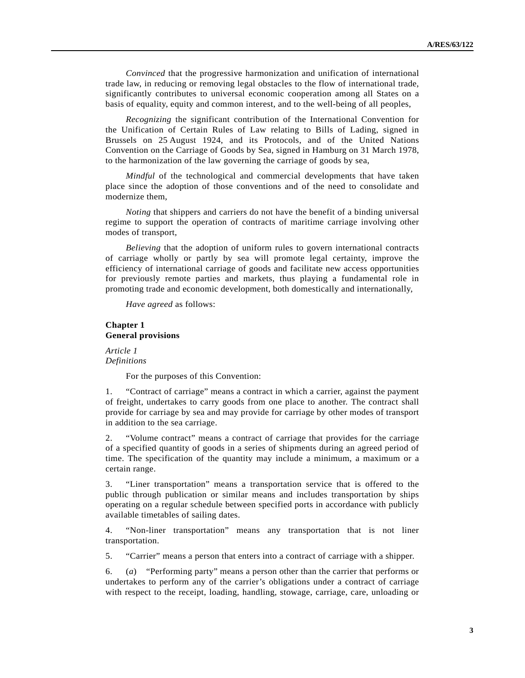*Convinced* that the progressive harmonization and unification of international trade law, in reducing or removing legal obstacles to the flow of international trade, significantly contributes to universal economic cooperation among all States on a basis of equality, equity and common interest, and to the well-being of all peoples,

*Recognizing* the significant contribution of the International Convention for the Unification of Certain Rules of Law relating to Bills of Lading, signed in Brussels on 25 August 1924, and its Protocols, and of the United Nations Convention on the Carriage of Goods by Sea, signed in Hamburg on 31 March 1978, to the harmonization of the law governing the carriage of goods by sea,

*Mindful* of the technological and commercial developments that have taken place since the adoption of those conventions and of the need to consolidate and modernize them,

*Noting* that shippers and carriers do not have the benefit of a binding universal regime to support the operation of contracts of maritime carriage involving other modes of transport,

*Believing* that the adoption of uniform rules to govern international contracts of carriage wholly or partly by sea will promote legal certainty, improve the efficiency of international carriage of goods and facilitate new access opportunities for previously remote parties and markets, thus playing a fundamental role in promoting trade and economic development, both domestically and internationally,

*Have agreed* as follows:

# **Chapter 1 General provisions**

*Article 1 Definitions* 

For the purposes of this Convention:

1. "Contract of carriage" means a contract in which a carrier, against the payment of freight, undertakes to carry goods from one place to another. The contract shall provide for carriage by sea and may provide for carriage by other modes of transport in addition to the sea carriage.

2. "Volume contract" means a contract of carriage that provides for the carriage of a specified quantity of goods in a series of shipments during an agreed period of time. The specification of the quantity may include a minimum, a maximum or a certain range.

3. "Liner transportation" means a transportation service that is offered to the public through publication or similar means and includes transportation by ships operating on a regular schedule between specified ports in accordance with publicly available timetables of sailing dates.

4. "Non-liner transportation" means any transportation that is not liner transportation.

5. "Carrier" means a person that enters into a contract of carriage with a shipper.

6. (*a*) "Performing party" means a person other than the carrier that performs or undertakes to perform any of the carrier's obligations under a contract of carriage with respect to the receipt, loading, handling, stowage, carriage, care, unloading or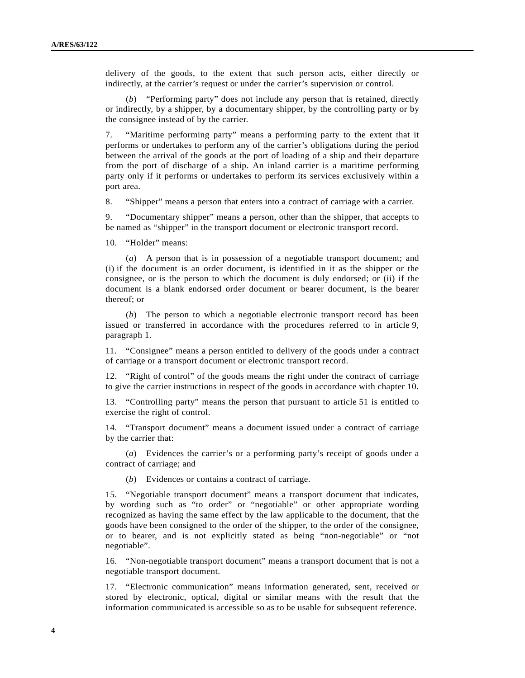delivery of the goods, to the extent that such person acts, either directly or indirectly, at the carrier's request or under the carrier's supervision or control.

 (*b*) "Performing party" does not include any person that is retained, directly or indirectly, by a shipper, by a documentary shipper, by the controlling party or by the consignee instead of by the carrier.

7. "Maritime performing party" means a performing party to the extent that it performs or undertakes to perform any of the carrier's obligations during the period between the arrival of the goods at the port of loading of a ship and their departure from the port of discharge of a ship. An inland carrier is a maritime performing party only if it performs or undertakes to perform its services exclusively within a port area.

8. "Shipper" means a person that enters into a contract of carriage with a carrier.

9. "Documentary shipper" means a person, other than the shipper, that accepts to be named as "shipper" in the transport document or electronic transport record.

10. "Holder" means:

 (*a*) A person that is in possession of a negotiable transport document; and (i) if the document is an order document, is identified in it as the shipper or the consignee, or is the person to which the document is duly endorsed; or (ii) if the document is a blank endorsed order document or bearer document, is the bearer thereof; or

 (*b*) The person to which a negotiable electronic transport record has been issued or transferred in accordance with the procedures referred to in article 9, paragraph 1.

11. "Consignee" means a person entitled to delivery of the goods under a contract of carriage or a transport document or electronic transport record.

12. "Right of control" of the goods means the right under the contract of carriage to give the carrier instructions in respect of the goods in accordance with chapter 10.

13. "Controlling party" means the person that pursuant to article 51 is entitled to exercise the right of control.

14. "Transport document" means a document issued under a contract of carriage by the carrier that:

 (*a*) Evidences the carrier's or a performing party's receipt of goods under a contract of carriage; and

(*b*) Evidences or contains a contract of carriage.

15. "Negotiable transport document" means a transport document that indicates, by wording such as "to order" or "negotiable" or other appropriate wording recognized as having the same effect by the law applicable to the document, that the goods have been consigned to the order of the shipper, to the order of the consignee, or to bearer, and is not explicitly stated as being "non-negotiable" or "not negotiable".

16. "Non-negotiable transport document" means a transport document that is not a negotiable transport document.

17. "Electronic communication" means information generated, sent, received or stored by electronic, optical, digital or similar means with the result that the information communicated is accessible so as to be usable for subsequent reference.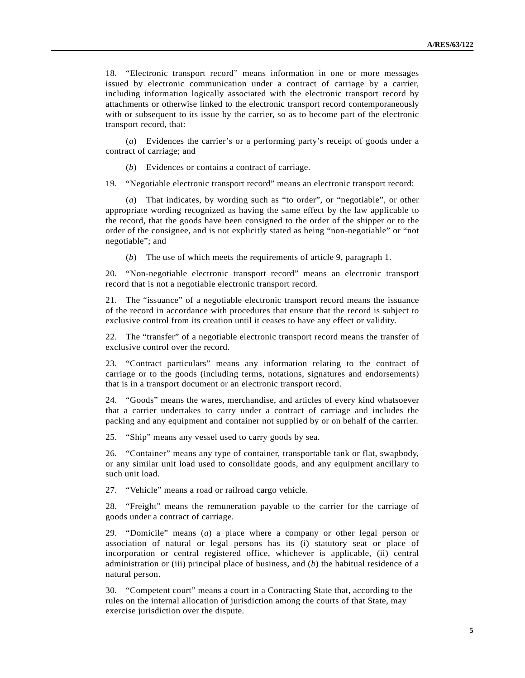18. "Electronic transport record" means information in one or more messages issued by electronic communication under a contract of carriage by a carrier, including information logically associated with the electronic transport record by attachments or otherwise linked to the electronic transport record contemporaneously with or subsequent to its issue by the carrier, so as to become part of the electronic transport record, that:

 (*a*) Evidences the carrier's or a performing party's receipt of goods under a contract of carriage; and

(*b*) Evidences or contains a contract of carriage.

19. "Negotiable electronic transport record" means an electronic transport record:

 (*a*) That indicates, by wording such as "to order", or "negotiable", or other appropriate wording recognized as having the same effect by the law applicable to the record, that the goods have been consigned to the order of the shipper or to the order of the consignee, and is not explicitly stated as being "non-negotiable" or "not negotiable"; and

(*b*) The use of which meets the requirements of article 9, paragraph 1.

20. "Non-negotiable electronic transport record" means an electronic transport record that is not a negotiable electronic transport record.

21. The "issuance" of a negotiable electronic transport record means the issuance of the record in accordance with procedures that ensure that the record is subject to exclusive control from its creation until it ceases to have any effect or validity.

22. The "transfer" of a negotiable electronic transport record means the transfer of exclusive control over the record.

23. "Contract particulars" means any information relating to the contract of carriage or to the goods (including terms, notations, signatures and endorsements) that is in a transport document or an electronic transport record.

24. "Goods" means the wares, merchandise, and articles of every kind whatsoever that a carrier undertakes to carry under a contract of carriage and includes the packing and any equipment and container not supplied by or on behalf of the carrier.

25. "Ship" means any vessel used to carry goods by sea.

26. "Container" means any type of container, transportable tank or flat, swapbody, or any similar unit load used to consolidate goods, and any equipment ancillary to such unit load.

27. "Vehicle" means a road or railroad cargo vehicle.

28. "Freight" means the remuneration payable to the carrier for the carriage of goods under a contract of carriage.

29. "Domicile" means (*a*) a place where a company or other legal person or association of natural or legal persons has its (i) statutory seat or place of incorporation or central registered office, whichever is applicable, (ii) central administration or (iii) principal place of business, and (*b*) the habitual residence of a natural person.

30. "Competent court" means a court in a Contracting State that, according to the rules on the internal allocation of jurisdiction among the courts of that State, may exercise jurisdiction over the dispute.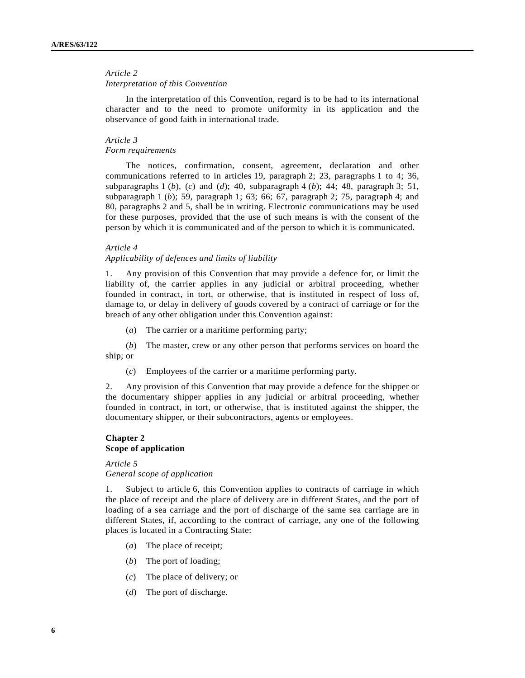#### *Article 2*

# *Interpretation of this Convention*

 In the interpretation of this Convention, regard is to be had to its international character and to the need to promote uniformity in its application and the observance of good faith in international trade.

# *Article 3*

# *Form requirements*

 The notices, confirmation, consent, agreement, declaration and other communications referred to in articles 19, paragraph 2; 23, paragraphs 1 to 4; 36, subparagraphs 1 (*b*), (*c*) and (*d*); 40, subparagraph 4 (*b*); 44; 48, paragraph 3; 51, subparagraph 1 (*b*); 59, paragraph 1; 63; 66; 67, paragraph 2; 75, paragraph 4; and 80, paragraphs 2 and 5, shall be in writing. Electronic communications may be used for these purposes, provided that the use of such means is with the consent of the person by which it is communicated and of the person to which it is communicated.

#### *Article 4*

# *Applicability of defences and limits of liability*

1. Any provision of this Convention that may provide a defence for, or limit the liability of, the carrier applies in any judicial or arbitral proceeding, whether founded in contract, in tort, or otherwise, that is instituted in respect of loss of, damage to, or delay in delivery of goods covered by a contract of carriage or for the breach of any other obligation under this Convention against:

(*a*) The carrier or a maritime performing party;

 (*b*) The master, crew or any other person that performs services on board the ship; or

(*c*) Employees of the carrier or a maritime performing party.

2. Any provision of this Convention that may provide a defence for the shipper or the documentary shipper applies in any judicial or arbitral proceeding, whether founded in contract, in tort, or otherwise, that is instituted against the shipper, the documentary shipper, or their subcontractors, agents or employees.

# **Chapter 2 Scope of application**

*Article 5 General scope of application* 

1. Subject to article 6, this Convention applies to contracts of carriage in which the place of receipt and the place of delivery are in different States, and the port of loading of a sea carriage and the port of discharge of the same sea carriage are in different States, if, according to the contract of carriage, any one of the following places is located in a Contracting State:

- (*a*) The place of receipt;
- (*b*) The port of loading;
- (*c*) The place of delivery; or
- (*d*) The port of discharge.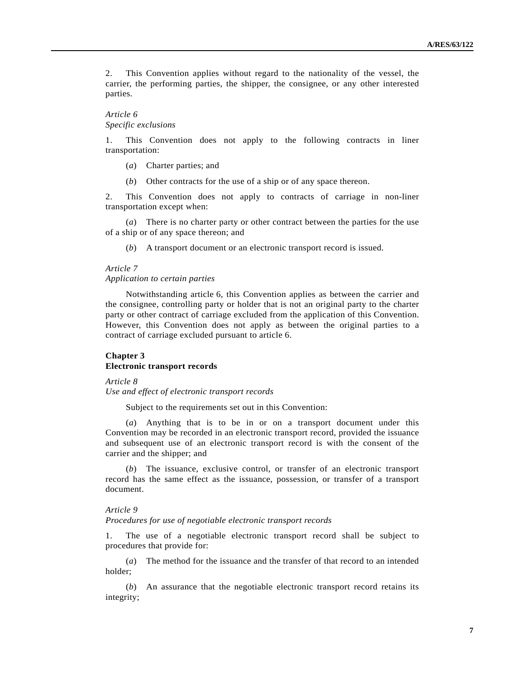2. This Convention applies without regard to the nationality of the vessel, the carrier, the performing parties, the shipper, the consignee, or any other interested parties.

# *Article 6 Specific exclusions*

1. This Convention does not apply to the following contracts in liner transportation:

(*a*) Charter parties; and

(*b*) Other contracts for the use of a ship or of any space thereon.

2. This Convention does not apply to contracts of carriage in non-liner transportation except when:

 (*a*) There is no charter party or other contract between the parties for the use of a ship or of any space thereon; and

(*b*) A transport document or an electronic transport record is issued.

#### *Article 7*

### *Application to certain parties*

 Notwithstanding article 6, this Convention applies as between the carrier and the consignee, controlling party or holder that is not an original party to the charter party or other contract of carriage excluded from the application of this Convention. However, this Convention does not apply as between the original parties to a contract of carriage excluded pursuant to article 6.

# **Chapter 3 Electronic transport records**

*Article 8* 

*Use and effect of electronic transport records* 

Subject to the requirements set out in this Convention:

 (*a*) Anything that is to be in or on a transport document under this Convention may be recorded in an electronic transport record, provided the issuance and subsequent use of an electronic transport record is with the consent of the carrier and the shipper; and

 (*b*) The issuance, exclusive control, or transfer of an electronic transport record has the same effect as the issuance, possession, or transfer of a transport document.

## *Article 9*

*Procedures for use of negotiable electronic transport records* 

1. The use of a negotiable electronic transport record shall be subject to procedures that provide for:

 (*a*) The method for the issuance and the transfer of that record to an intended holder;

 (*b*) An assurance that the negotiable electronic transport record retains its integrity;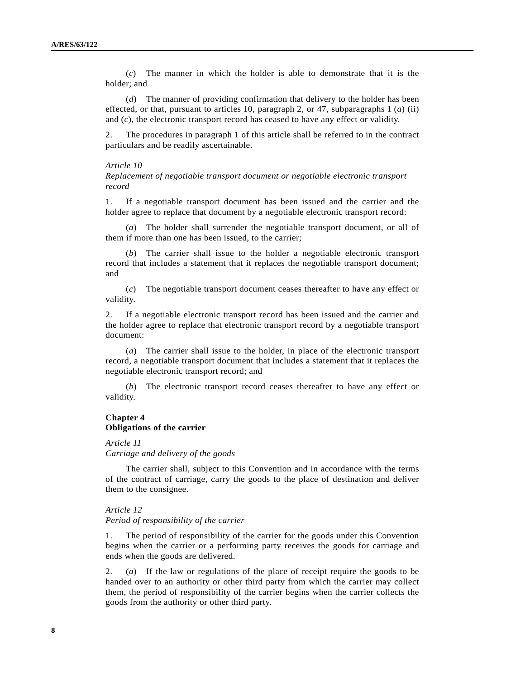(*c*) The manner in which the holder is able to demonstrate that it is the holder; and

 (*d*) The manner of providing confirmation that delivery to the holder has been effected, or that, pursuant to articles 10, paragraph 2, or 47, subparagraphs 1 (*a*) (ii) and (*c*), the electronic transport record has ceased to have any effect or validity.

2. The procedures in paragraph 1 of this article shall be referred to in the contract particulars and be readily ascertainable.

#### *Article 10*

*Replacement of negotiable transport document or negotiable electronic transport record* 

1. If a negotiable transport document has been issued and the carrier and the holder agree to replace that document by a negotiable electronic transport record:

 (*a*) The holder shall surrender the negotiable transport document, or all of them if more than one has been issued, to the carrier;

 (*b*) The carrier shall issue to the holder a negotiable electronic transport record that includes a statement that it replaces the negotiable transport document; and

 (*c*) The negotiable transport document ceases thereafter to have any effect or validity.

2. If a negotiable electronic transport record has been issued and the carrier and the holder agree to replace that electronic transport record by a negotiable transport document:

 (*a*) The carrier shall issue to the holder, in place of the electronic transport record, a negotiable transport document that includes a statement that it replaces the negotiable electronic transport record; and

 (*b*) The electronic transport record ceases thereafter to have any effect or validity.

# **Chapter 4 Obligations of the carrier**

# *Article 11*

*Carriage and delivery of the goods* 

 The carrier shall, subject to this Convention and in accordance with the terms of the contract of carriage, carry the goods to the place of destination and deliver them to the consignee.

## *Article 12*

# *Period of responsibility of the carrier*

1. The period of responsibility of the carrier for the goods under this Convention begins when the carrier or a performing party receives the goods for carriage and ends when the goods are delivered.

2. (*a*) If the law or regulations of the place of receipt require the goods to be handed over to an authority or other third party from which the carrier may collect them, the period of responsibility of the carrier begins when the carrier collects the goods from the authority or other third party.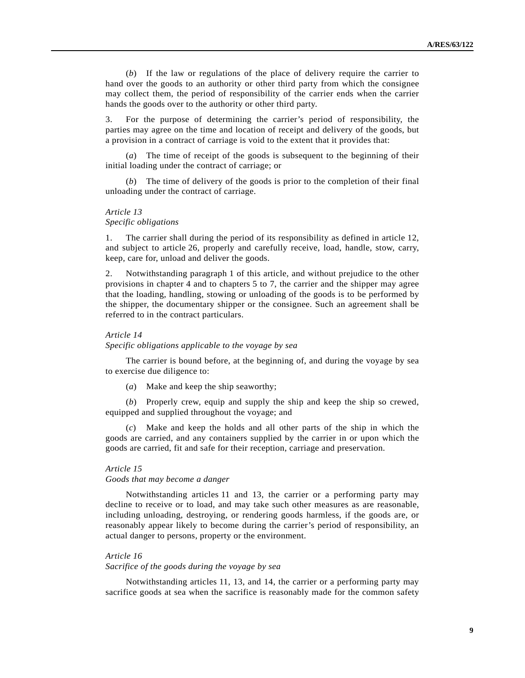(*b*) If the law or regulations of the place of delivery require the carrier to hand over the goods to an authority or other third party from which the consignee may collect them, the period of responsibility of the carrier ends when the carrier hands the goods over to the authority or other third party.

3. For the purpose of determining the carrier's period of responsibility, the parties may agree on the time and location of receipt and delivery of the goods, but a provision in a contract of carriage is void to the extent that it provides that:

 (*a*) The time of receipt of the goods is subsequent to the beginning of their initial loading under the contract of carriage; or

 (*b*) The time of delivery of the goods is prior to the completion of their final unloading under the contract of carriage.

# *Article 13*

#### *Specific obligations*

1. The carrier shall during the period of its responsibility as defined in article 12, and subject to article 26, properly and carefully receive, load, handle, stow, carry, keep, care for, unload and deliver the goods.

2. Notwithstanding paragraph 1 of this article, and without prejudice to the other provisions in chapter 4 and to chapters 5 to 7, the carrier and the shipper may agree that the loading, handling, stowing or unloading of the goods is to be performed by the shipper, the documentary shipper or the consignee. Such an agreement shall be referred to in the contract particulars.

# *Article 14*

*Specific obligations applicable to the voyage by sea* 

 The carrier is bound before, at the beginning of, and during the voyage by sea to exercise due diligence to:

(*a*) Make and keep the ship seaworthy;

 (*b*) Properly crew, equip and supply the ship and keep the ship so crewed, equipped and supplied throughout the voyage; and

 (*c*) Make and keep the holds and all other parts of the ship in which the goods are carried, and any containers supplied by the carrier in or upon which the goods are carried, fit and safe for their reception, carriage and preservation.

### *Article 15*

#### *Goods that may become a danger*

 Notwithstanding articles 11 and 13, the carrier or a performing party may decline to receive or to load, and may take such other measures as are reasonable, including unloading, destroying, or rendering goods harmless, if the goods are, or reasonably appear likely to become during the carrier's period of responsibility, an actual danger to persons, property or the environment.

# *Article 16*

*Sacrifice of the goods during the voyage by sea* 

 Notwithstanding articles 11, 13, and 14, the carrier or a performing party may sacrifice goods at sea when the sacrifice is reasonably made for the common safety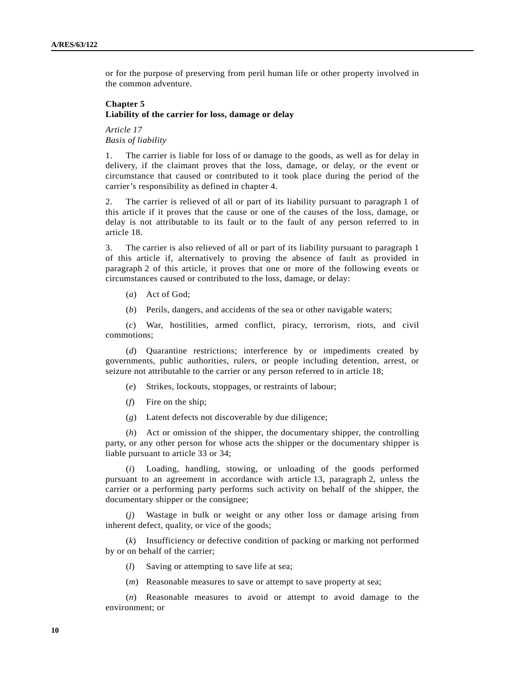or for the purpose of preserving from peril human life or other property involved in the common adventure.

# **Chapter 5 Liability of the carrier for loss, damage or delay**

*Article 17 Basis of liability* 

1. The carrier is liable for loss of or damage to the goods, as well as for delay in delivery, if the claimant proves that the loss, damage, or delay, or the event or circumstance that caused or contributed to it took place during the period of the carrier's responsibility as defined in chapter 4.

2. The carrier is relieved of all or part of its liability pursuant to paragraph 1 of this article if it proves that the cause or one of the causes of the loss, damage, or delay is not attributable to its fault or to the fault of any person referred to in article 18.

3. The carrier is also relieved of all or part of its liability pursuant to paragraph 1 of this article if, alternatively to proving the absence of fault as provided in paragraph 2 of this article, it proves that one or more of the following events or circumstances caused or contributed to the loss, damage, or delay:

- (*a*) Act of God;
- (*b*) Perils, dangers, and accidents of the sea or other navigable waters;

 (*c*) War, hostilities, armed conflict, piracy, terrorism, riots, and civil commotions;

 (*d*) Quarantine restrictions; interference by or impediments created by governments, public authorities, rulers, or people including detention, arrest, or seizure not attributable to the carrier or any person referred to in article 18;

- (*e*) Strikes, lockouts, stoppages, or restraints of labour;
- (*f*) Fire on the ship;
- (*g*) Latent defects not discoverable by due diligence;

 (*h*) Act or omission of the shipper, the documentary shipper, the controlling party, or any other person for whose acts the shipper or the documentary shipper is liable pursuant to article 33 or 34;

Loading, handling, stowing, or unloading of the goods performed pursuant to an agreement in accordance with article 13, paragraph 2, unless the carrier or a performing party performs such activity on behalf of the shipper, the documentary shipper or the consignee;

 (*j*) Wastage in bulk or weight or any other loss or damage arising from inherent defect, quality, or vice of the goods;

 (*k*) Insufficiency or defective condition of packing or marking not performed by or on behalf of the carrier;

(*l*) Saving or attempting to save life at sea;

(*m*) Reasonable measures to save or attempt to save property at sea;

 (*n*) Reasonable measures to avoid or attempt to avoid damage to the environment; or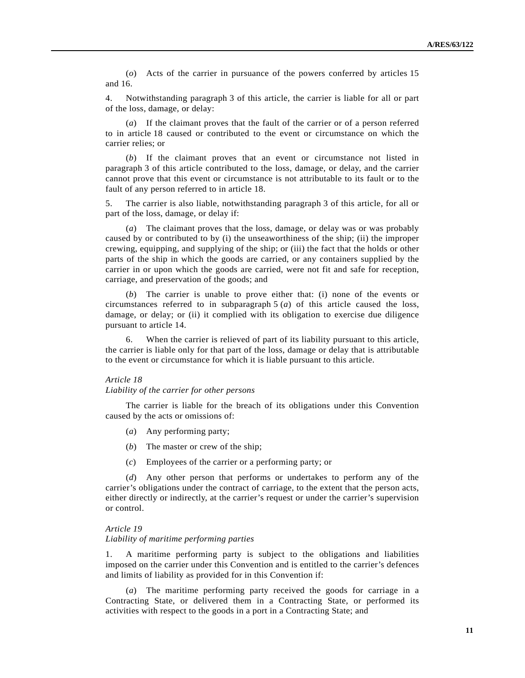(*o*) Acts of the carrier in pursuance of the powers conferred by articles 15 and 16.

4. Notwithstanding paragraph 3 of this article, the carrier is liable for all or part of the loss, damage, or delay:

 (*a*) If the claimant proves that the fault of the carrier or of a person referred to in article 18 caused or contributed to the event or circumstance on which the carrier relies; or

 (*b*) If the claimant proves that an event or circumstance not listed in paragraph 3 of this article contributed to the loss, damage, or delay, and the carrier cannot prove that this event or circumstance is not attributable to its fault or to the fault of any person referred to in article 18.

5. The carrier is also liable, notwithstanding paragraph 3 of this article, for all or part of the loss, damage, or delay if:

 (*a*) The claimant proves that the loss, damage, or delay was or was probably caused by or contributed to by (i) the unseaworthiness of the ship; (ii) the improper crewing, equipping, and supplying of the ship; or (iii) the fact that the holds or other parts of the ship in which the goods are carried, or any containers supplied by the carrier in or upon which the goods are carried, were not fit and safe for reception, carriage, and preservation of the goods; and

 (*b*) The carrier is unable to prove either that: (i) none of the events or circumstances referred to in subparagraph 5 (*a*) of this article caused the loss, damage, or delay; or (ii) it complied with its obligation to exercise due diligence pursuant to article 14.

 6. When the carrier is relieved of part of its liability pursuant to this article, the carrier is liable only for that part of the loss, damage or delay that is attributable to the event or circumstance for which it is liable pursuant to this article.

### *Article 18*

*Liability of the carrier for other persons* 

 The carrier is liable for the breach of its obligations under this Convention caused by the acts or omissions of:

- (*a*) Any performing party;
- (*b*) The master or crew of the ship;
- (*c*) Employees of the carrier or a performing party; or

 (*d*) Any other person that performs or undertakes to perform any of the carrier's obligations under the contract of carriage, to the extent that the person acts, either directly or indirectly, at the carrier's request or under the carrier's supervision or control.

### *Article 19*

# *Liability of maritime performing parties*

1. A maritime performing party is subject to the obligations and liabilities imposed on the carrier under this Convention and is entitled to the carrier's defences and limits of liability as provided for in this Convention if:

 (*a*) The maritime performing party received the goods for carriage in a Contracting State, or delivered them in a Contracting State, or performed its activities with respect to the goods in a port in a Contracting State; and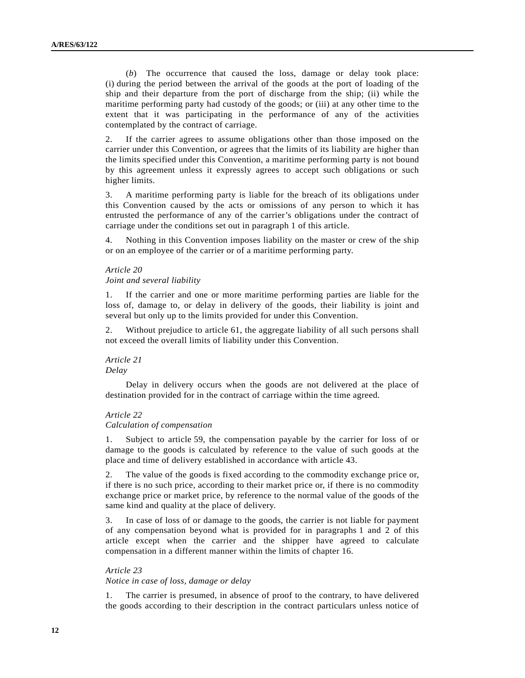(*b*) The occurrence that caused the loss, damage or delay took place: (i) during the period between the arrival of the goods at the port of loading of the ship and their departure from the port of discharge from the ship; (ii) while the maritime performing party had custody of the goods; or (iii) at any other time to the extent that it was participating in the performance of any of the activities contemplated by the contract of carriage.

2. If the carrier agrees to assume obligations other than those imposed on the carrier under this Convention, or agrees that the limits of its liability are higher than the limits specified under this Convention, a maritime performing party is not bound by this agreement unless it expressly agrees to accept such obligations or such higher limits.

3. A maritime performing party is liable for the breach of its obligations under this Convention caused by the acts or omissions of any person to which it has entrusted the performance of any of the carrier's obligations under the contract of carriage under the conditions set out in paragraph 1 of this article.

4. Nothing in this Convention imposes liability on the master or crew of the ship or on an employee of the carrier or of a maritime performing party.

# *Article 20*

# *Joint and several liability*

1. If the carrier and one or more maritime performing parties are liable for the loss of, damage to, or delay in delivery of the goods, their liability is joint and several but only up to the limits provided for under this Convention.

2. Without prejudice to article 61, the aggregate liability of all such persons shall not exceed the overall limits of liability under this Convention.

# *Article 21 Delay*

 Delay in delivery occurs when the goods are not delivered at the place of destination provided for in the contract of carriage within the time agreed.

# *Article 22*

#### *Calculation of compensation*

1. Subject to article 59, the compensation payable by the carrier for loss of or damage to the goods is calculated by reference to the value of such goods at the place and time of delivery established in accordance with article 43.

2. The value of the goods is fixed according to the commodity exchange price or, if there is no such price, according to their market price or, if there is no commodity exchange price or market price, by reference to the normal value of the goods of the same kind and quality at the place of delivery.

3. In case of loss of or damage to the goods, the carrier is not liable for payment of any compensation beyond what is provided for in paragraphs 1 and 2 of this article except when the carrier and the shipper have agreed to calculate compensation in a different manner within the limits of chapter 16.

# *Article 23*

#### *Notice in case of loss, damage or delay*

1. The carrier is presumed, in absence of proof to the contrary, to have delivered the goods according to their description in the contract particulars unless notice of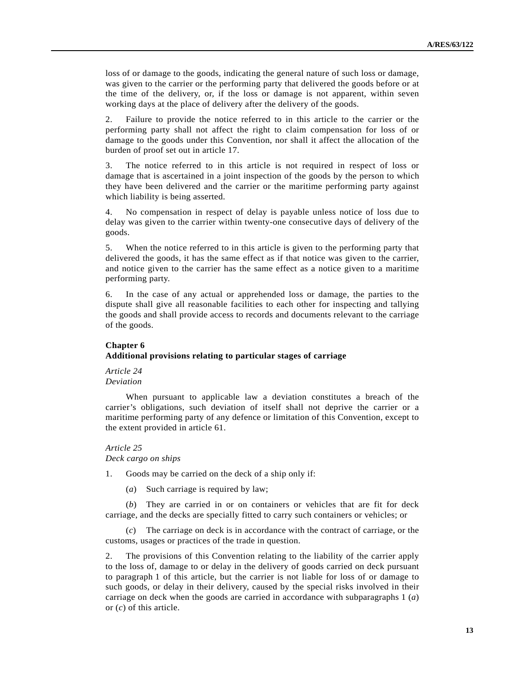loss of or damage to the goods, indicating the general nature of such loss or damage, was given to the carrier or the performing party that delivered the goods before or at the time of the delivery, or, if the loss or damage is not apparent, within seven working days at the place of delivery after the delivery of the goods.

2. Failure to provide the notice referred to in this article to the carrier or the performing party shall not affect the right to claim compensation for loss of or damage to the goods under this Convention, nor shall it affect the allocation of the burden of proof set out in article 17.

3. The notice referred to in this article is not required in respect of loss or damage that is ascertained in a joint inspection of the goods by the person to which they have been delivered and the carrier or the maritime performing party against which liability is being asserted.

4. No compensation in respect of delay is payable unless notice of loss due to delay was given to the carrier within twenty-one consecutive days of delivery of the goods.

5. When the notice referred to in this article is given to the performing party that delivered the goods, it has the same effect as if that notice was given to the carrier, and notice given to the carrier has the same effect as a notice given to a maritime performing party.

6. In the case of any actual or apprehended loss or damage, the parties to the dispute shall give all reasonable facilities to each other for inspecting and tallying the goods and shall provide access to records and documents relevant to the carriage of the goods.

# **Chapter 6 Additional provisions relating to particular stages of carriage**

*Article 24 Deviation* 

 When pursuant to applicable law a deviation constitutes a breach of the carrier's obligations, such deviation of itself shall not deprive the carrier or a maritime performing party of any defence or limitation of this Convention, except to the extent provided in article 61.

# *Article 25 Deck cargo on ships*

1. Goods may be carried on the deck of a ship only if:

(*a*) Such carriage is required by law;

 (*b*) They are carried in or on containers or vehicles that are fit for deck carriage, and the decks are specially fitted to carry such containers or vehicles; or

The carriage on deck is in accordance with the contract of carriage, or the customs, usages or practices of the trade in question.

2. The provisions of this Convention relating to the liability of the carrier apply to the loss of, damage to or delay in the delivery of goods carried on deck pursuant to paragraph 1 of this article, but the carrier is not liable for loss of or damage to such goods, or delay in their delivery, caused by the special risks involved in their carriage on deck when the goods are carried in accordance with subparagraphs 1 (*a*) or (*c*) of this article.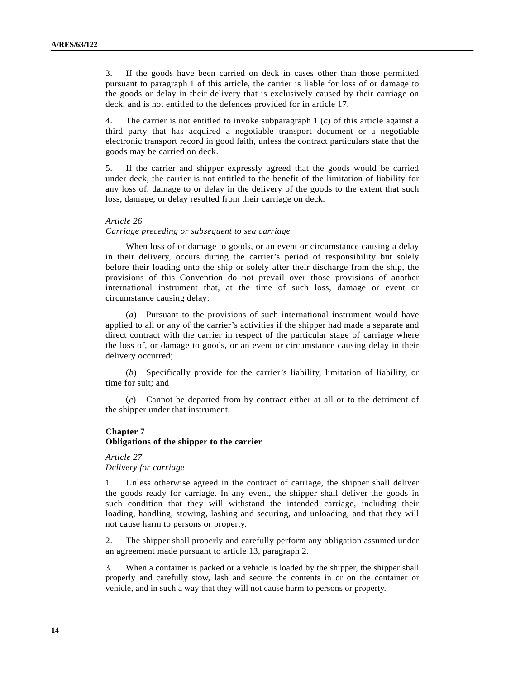3. If the goods have been carried on deck in cases other than those permitted pursuant to paragraph 1 of this article, the carrier is liable for loss of or damage to the goods or delay in their delivery that is exclusively caused by their carriage on deck, and is not entitled to the defences provided for in article 17.

4. The carrier is not entitled to invoke subparagraph 1 (*c*) of this article against a third party that has acquired a negotiable transport document or a negotiable electronic transport record in good faith, unless the contract particulars state that the goods may be carried on deck.

5. If the carrier and shipper expressly agreed that the goods would be carried under deck, the carrier is not entitled to the benefit of the limitation of liability for any loss of, damage to or delay in the delivery of the goods to the extent that such loss, damage, or delay resulted from their carriage on deck.

#### *Article 26*

#### *Carriage preceding or subsequent to sea carriage*

 When loss of or damage to goods, or an event or circumstance causing a delay in their delivery, occurs during the carrier's period of responsibility but solely before their loading onto the ship or solely after their discharge from the ship, the provisions of this Convention do not prevail over those provisions of another international instrument that, at the time of such loss, damage or event or circumstance causing delay:

 (*a*) Pursuant to the provisions of such international instrument would have applied to all or any of the carrier's activities if the shipper had made a separate and direct contract with the carrier in respect of the particular stage of carriage where the loss of, or damage to goods, or an event or circumstance causing delay in their delivery occurred;

 (*b*) Specifically provide for the carrier's liability, limitation of liability, or time for suit; and

 (*c*) Cannot be departed from by contract either at all or to the detriment of the shipper under that instrument.

#### **Chapter 7**

#### **Obligations of the shipper to the carrier**

# *Article 27 Delivery for carriage*

1. Unless otherwise agreed in the contract of carriage, the shipper shall deliver the goods ready for carriage. In any event, the shipper shall deliver the goods in such condition that they will withstand the intended carriage, including their loading, handling, stowing, lashing and securing, and unloading, and that they will not cause harm to persons or property.

2. The shipper shall properly and carefully perform any obligation assumed under an agreement made pursuant to article 13, paragraph 2.

3. When a container is packed or a vehicle is loaded by the shipper, the shipper shall properly and carefully stow, lash and secure the contents in or on the container or vehicle, and in such a way that they will not cause harm to persons or property.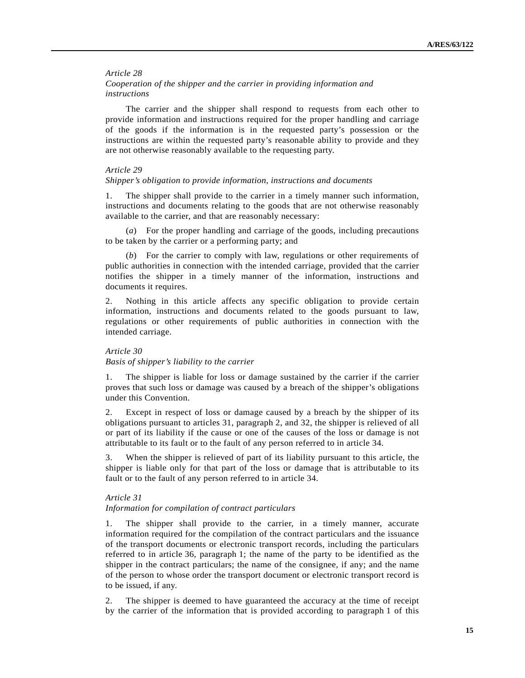# *Article 28 Cooperation of the shipper and the carrier in providing information and instructions*

 The carrier and the shipper shall respond to requests from each other to provide information and instructions required for the proper handling and carriage of the goods if the information is in the requested party's possession or the instructions are within the requested party's reasonable ability to provide and they are not otherwise reasonably available to the requesting party.

#### *Article 29*

### *Shipper's obligation to provide information, instructions and documents*

1. The shipper shall provide to the carrier in a timely manner such information, instructions and documents relating to the goods that are not otherwise reasonably available to the carrier, and that are reasonably necessary:

 (*a*) For the proper handling and carriage of the goods, including precautions to be taken by the carrier or a performing party; and

 (*b*) For the carrier to comply with law, regulations or other requirements of public authorities in connection with the intended carriage, provided that the carrier notifies the shipper in a timely manner of the information, instructions and documents it requires.

2. Nothing in this article affects any specific obligation to provide certain information, instructions and documents related to the goods pursuant to law, regulations or other requirements of public authorities in connection with the intended carriage.

#### *Article 30*

#### *Basis of shipper's liability to the carrier*

1. The shipper is liable for loss or damage sustained by the carrier if the carrier proves that such loss or damage was caused by a breach of the shipper's obligations under this Convention.

2. Except in respect of loss or damage caused by a breach by the shipper of its obligations pursuant to articles 31, paragraph 2, and 32, the shipper is relieved of all or part of its liability if the cause or one of the causes of the loss or damage is not attributable to its fault or to the fault of any person referred to in article 34.

3. When the shipper is relieved of part of its liability pursuant to this article, the shipper is liable only for that part of the loss or damage that is attributable to its fault or to the fault of any person referred to in article 34.

### *Article 31*

#### *Information for compilation of contract particulars*

1. The shipper shall provide to the carrier, in a timely manner, accurate information required for the compilation of the contract particulars and the issuance of the transport documents or electronic transport records, including the particulars referred to in article 36, paragraph 1; the name of the party to be identified as the shipper in the contract particulars; the name of the consignee, if any; and the name of the person to whose order the transport document or electronic transport record is to be issued, if any.

2. The shipper is deemed to have guaranteed the accuracy at the time of receipt by the carrier of the information that is provided according to paragraph 1 of this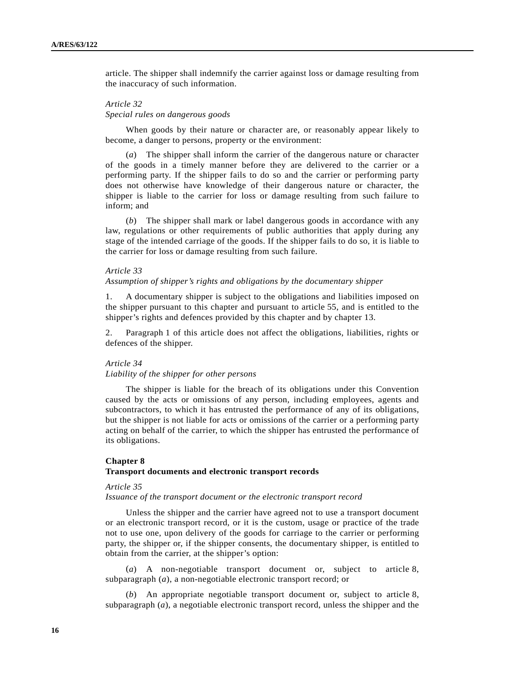article. The shipper shall indemnify the carrier against loss or damage resulting from the inaccuracy of such information.

# *Article 32 Special rules on dangerous goods*

 When goods by their nature or character are, or reasonably appear likely to become, a danger to persons, property or the environment:

 (*a*) The shipper shall inform the carrier of the dangerous nature or character of the goods in a timely manner before they are delivered to the carrier or a performing party. If the shipper fails to do so and the carrier or performing party does not otherwise have knowledge of their dangerous nature or character, the shipper is liable to the carrier for loss or damage resulting from such failure to inform; and

 (*b*) The shipper shall mark or label dangerous goods in accordance with any law, regulations or other requirements of public authorities that apply during any stage of the intended carriage of the goods. If the shipper fails to do so, it is liable to the carrier for loss or damage resulting from such failure.

#### *Article 33*

### *Assumption of shipper's rights and obligations by the documentary shipper*

1. A documentary shipper is subject to the obligations and liabilities imposed on the shipper pursuant to this chapter and pursuant to article 55, and is entitled to the shipper's rights and defences provided by this chapter and by chapter 13.

2. Paragraph 1 of this article does not affect the obligations, liabilities, rights or defences of the shipper.

### *Article 34*

# *Liability of the shipper for other persons*

 The shipper is liable for the breach of its obligations under this Convention caused by the acts or omissions of any person, including employees, agents and subcontractors, to which it has entrusted the performance of any of its obligations, but the shipper is not liable for acts or omissions of the carrier or a performing party acting on behalf of the carrier, to which the shipper has entrusted the performance of its obligations.

#### **Chapter 8**

#### **Transport documents and electronic transport records**

#### *Article 35*

# *Issuance of the transport document or the electronic transport record*

 Unless the shipper and the carrier have agreed not to use a transport document or an electronic transport record, or it is the custom, usage or practice of the trade not to use one, upon delivery of the goods for carriage to the carrier or performing party, the shipper or, if the shipper consents, the documentary shipper, is entitled to obtain from the carrier, at the shipper's option:

 (*a*) A non-negotiable transport document or, subject to article 8, subparagraph (*a*), a non-negotiable electronic transport record; or

 (*b*) An appropriate negotiable transport document or, subject to article 8, subparagraph (*a*), a negotiable electronic transport record, unless the shipper and the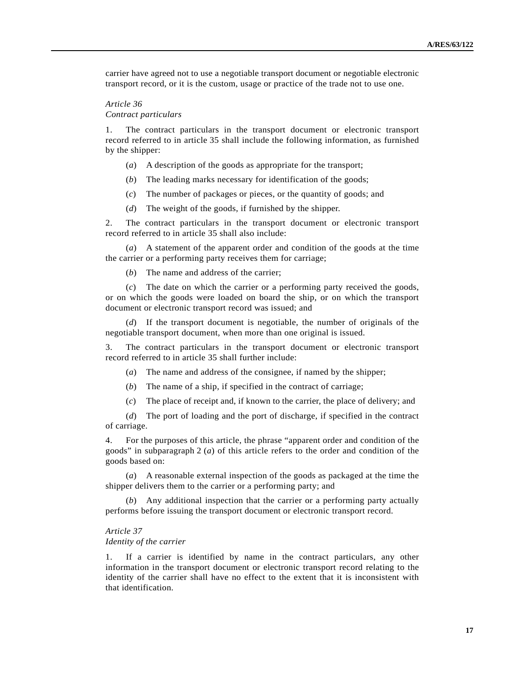carrier have agreed not to use a negotiable transport document or negotiable electronic transport record, or it is the custom, usage or practice of the trade not to use one.

# *Article 36 Contract particulars*

1. The contract particulars in the transport document or electronic transport record referred to in article 35 shall include the following information, as furnished by the shipper:

- (*a*) A description of the goods as appropriate for the transport;
- (*b*) The leading marks necessary for identification of the goods;
- (*c*) The number of packages or pieces, or the quantity of goods; and
- (*d*) The weight of the goods, if furnished by the shipper.

2. The contract particulars in the transport document or electronic transport record referred to in article 35 shall also include:

 (*a*) A statement of the apparent order and condition of the goods at the time the carrier or a performing party receives them for carriage;

(*b*) The name and address of the carrier;

 (*c*) The date on which the carrier or a performing party received the goods, or on which the goods were loaded on board the ship, or on which the transport document or electronic transport record was issued; and

 (*d*) If the transport document is negotiable, the number of originals of the negotiable transport document, when more than one original is issued.

3. The contract particulars in the transport document or electronic transport record referred to in article 35 shall further include:

(*a*) The name and address of the consignee, if named by the shipper;

- (*b*) The name of a ship, if specified in the contract of carriage;
- (*c*) The place of receipt and, if known to the carrier, the place of delivery; and

 (*d*) The port of loading and the port of discharge, if specified in the contract of carriage.

4. For the purposes of this article, the phrase "apparent order and condition of the goods" in subparagraph 2 (*a*) of this article refers to the order and condition of the goods based on:

 (*a*) A reasonable external inspection of the goods as packaged at the time the shipper delivers them to the carrier or a performing party; and

 (*b*) Any additional inspection that the carrier or a performing party actually performs before issuing the transport document or electronic transport record.

# *Article 37*

## *Identity of the carrier*

1. If a carrier is identified by name in the contract particulars, any other information in the transport document or electronic transport record relating to the identity of the carrier shall have no effect to the extent that it is inconsistent with that identification.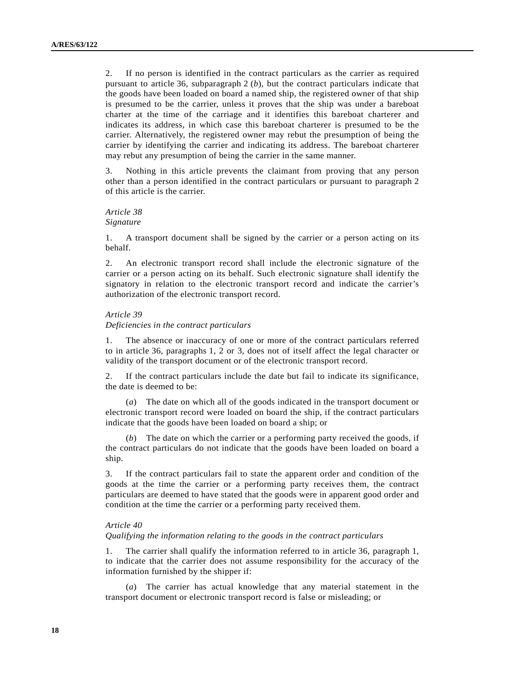2. If no person is identified in the contract particulars as the carrier as required pursuant to article 36, subparagraph 2 (*b*), but the contract particulars indicate that the goods have been loaded on board a named ship, the registered owner of that ship is presumed to be the carrier, unless it proves that the ship was under a bareboat charter at the time of the carriage and it identifies this bareboat charterer and indicates its address, in which case this bareboat charterer is presumed to be the carrier. Alternatively, the registered owner may rebut the presumption of being the carrier by identifying the carrier and indicating its address. The bareboat charterer may rebut any presumption of being the carrier in the same manner.

3. Nothing in this article prevents the claimant from proving that any person other than a person identified in the contract particulars or pursuant to paragraph 2 of this article is the carrier.

# *Article 38 Signature*

1. A transport document shall be signed by the carrier or a person acting on its behalf.

2. An electronic transport record shall include the electronic signature of the carrier or a person acting on its behalf. Such electronic signature shall identify the signatory in relation to the electronic transport record and indicate the carrier's authorization of the electronic transport record.

# *Article 39*

*Deficiencies in the contract particulars* 

1. The absence or inaccuracy of one or more of the contract particulars referred to in article 36, paragraphs 1, 2 or 3, does not of itself affect the legal character or validity of the transport document or of the electronic transport record.

2. If the contract particulars include the date but fail to indicate its significance, the date is deemed to be:

 (*a*) The date on which all of the goods indicated in the transport document or electronic transport record were loaded on board the ship, if the contract particulars indicate that the goods have been loaded on board a ship; or

 (*b*) The date on which the carrier or a performing party received the goods, if the contract particulars do not indicate that the goods have been loaded on board a ship.

3. If the contract particulars fail to state the apparent order and condition of the goods at the time the carrier or a performing party receives them, the contract particulars are deemed to have stated that the goods were in apparent good order and condition at the time the carrier or a performing party received them.

# *Article 40*

*Qualifying the information relating to the goods in the contract particulars* 

1. The carrier shall qualify the information referred to in article 36, paragraph 1, to indicate that the carrier does not assume responsibility for the accuracy of the information furnished by the shipper if:

 (*a*) The carrier has actual knowledge that any material statement in the transport document or electronic transport record is false or misleading; or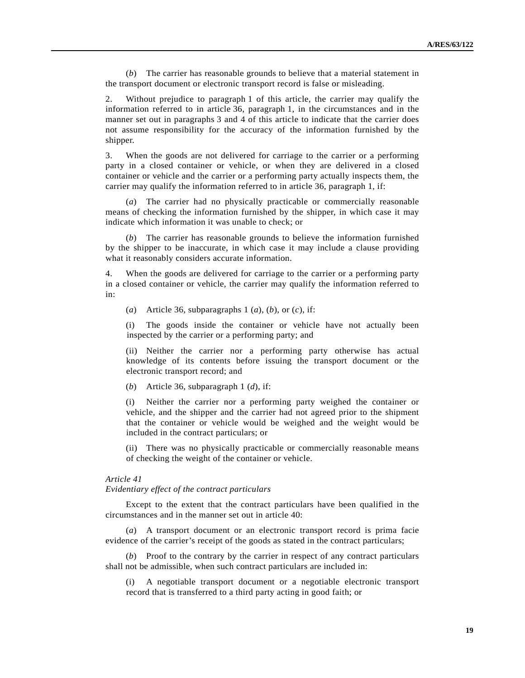(*b*) The carrier has reasonable grounds to believe that a material statement in the transport document or electronic transport record is false or misleading.

2. Without prejudice to paragraph 1 of this article, the carrier may qualify the information referred to in article 36, paragraph 1, in the circumstances and in the manner set out in paragraphs 3 and 4 of this article to indicate that the carrier does not assume responsibility for the accuracy of the information furnished by the shipper.

3. When the goods are not delivered for carriage to the carrier or a performing party in a closed container or vehicle, or when they are delivered in a closed container or vehicle and the carrier or a performing party actually inspects them, the carrier may qualify the information referred to in article 36, paragraph 1, if:

 (*a*) The carrier had no physically practicable or commercially reasonable means of checking the information furnished by the shipper, in which case it may indicate which information it was unable to check; or

 (*b*) The carrier has reasonable grounds to believe the information furnished by the shipper to be inaccurate, in which case it may include a clause providing what it reasonably considers accurate information.

4. When the goods are delivered for carriage to the carrier or a performing party in a closed container or vehicle, the carrier may qualify the information referred to in:

(*a*) Article 36, subparagraphs 1 (*a*), (*b*), or (*c*), if:

 (i) The goods inside the container or vehicle have not actually been inspected by the carrier or a performing party; and

 (ii) Neither the carrier nor a performing party otherwise has actual knowledge of its contents before issuing the transport document or the electronic transport record; and

(*b*) Article 36, subparagraph 1 (*d*), if:

 (i) Neither the carrier nor a performing party weighed the container or vehicle, and the shipper and the carrier had not agreed prior to the shipment that the container or vehicle would be weighed and the weight would be included in the contract particulars; or

 (ii) There was no physically practicable or commercially reasonable means of checking the weight of the container or vehicle.

# *Article 41*

#### *Evidentiary effect of the contract particulars*

 Except to the extent that the contract particulars have been qualified in the circumstances and in the manner set out in article 40:

 (*a*) A transport document or an electronic transport record is prima facie evidence of the carrier's receipt of the goods as stated in the contract particulars;

 (*b*) Proof to the contrary by the carrier in respect of any contract particulars shall not be admissible, when such contract particulars are included in:

 (i) A negotiable transport document or a negotiable electronic transport record that is transferred to a third party acting in good faith; or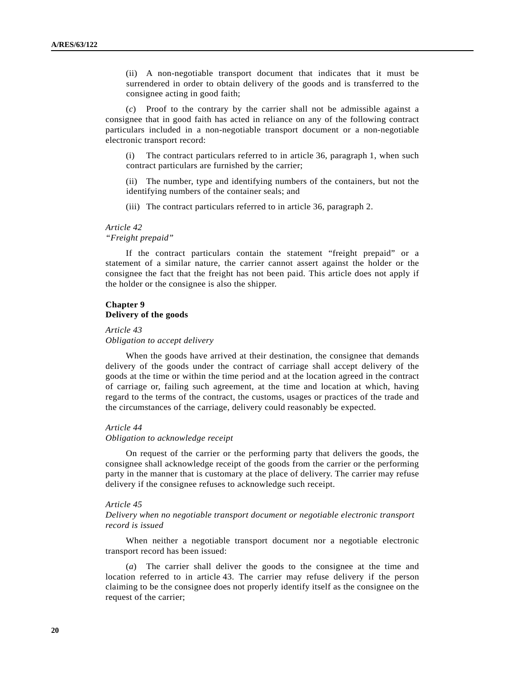(ii) A non-negotiable transport document that indicates that it must be surrendered in order to obtain delivery of the goods and is transferred to the consignee acting in good faith;

 (*c*) Proof to the contrary by the carrier shall not be admissible against a consignee that in good faith has acted in reliance on any of the following contract particulars included in a non-negotiable transport document or a non-negotiable electronic transport record:

 (i) The contract particulars referred to in article 36, paragraph 1, when such contract particulars are furnished by the carrier;

 (ii) The number, type and identifying numbers of the containers, but not the identifying numbers of the container seals; and

(iii) The contract particulars referred to in article 36, paragraph 2.

#### *Article 42*

*"Freight prepaid"* 

 If the contract particulars contain the statement "freight prepaid" or a statement of a similar nature, the carrier cannot assert against the holder or the consignee the fact that the freight has not been paid. This article does not apply if the holder or the consignee is also the shipper.

# **Chapter 9 Delivery of the goods**

#### *Article 43*

*Obligation to accept delivery* 

 When the goods have arrived at their destination, the consignee that demands delivery of the goods under the contract of carriage shall accept delivery of the goods at the time or within the time period and at the location agreed in the contract of carriage or, failing such agreement, at the time and location at which, having regard to the terms of the contract, the customs, usages or practices of the trade and the circumstances of the carriage, delivery could reasonably be expected.

### *Article 44*

### *Obligation to acknowledge receipt*

 On request of the carrier or the performing party that delivers the goods, the consignee shall acknowledge receipt of the goods from the carrier or the performing party in the manner that is customary at the place of delivery. The carrier may refuse delivery if the consignee refuses to acknowledge such receipt.

#### *Article 45*

# *Delivery when no negotiable transport document or negotiable electronic transport record is issued*

 When neither a negotiable transport document nor a negotiable electronic transport record has been issued:

 (*a*) The carrier shall deliver the goods to the consignee at the time and location referred to in article 43. The carrier may refuse delivery if the person claiming to be the consignee does not properly identify itself as the consignee on the request of the carrier;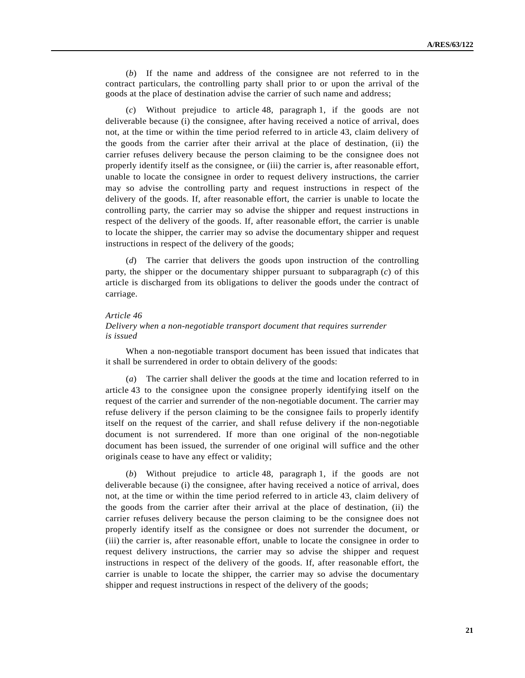(*b*) If the name and address of the consignee are not referred to in the contract particulars, the controlling party shall prior to or upon the arrival of the goods at the place of destination advise the carrier of such name and address;

 (*c*) Without prejudice to article 48, paragraph 1, if the goods are not deliverable because (i) the consignee, after having received a notice of arrival, does not, at the time or within the time period referred to in article 43, claim delivery of the goods from the carrier after their arrival at the place of destination, (ii) the carrier refuses delivery because the person claiming to be the consignee does not properly identify itself as the consignee, or (iii) the carrier is, after reasonable effort, unable to locate the consignee in order to request delivery instructions, the carrier may so advise the controlling party and request instructions in respect of the delivery of the goods. If, after reasonable effort, the carrier is unable to locate the controlling party, the carrier may so advise the shipper and request instructions in respect of the delivery of the goods. If, after reasonable effort, the carrier is unable to locate the shipper, the carrier may so advise the documentary shipper and request instructions in respect of the delivery of the goods;

 (*d*) The carrier that delivers the goods upon instruction of the controlling party, the shipper or the documentary shipper pursuant to subparagraph (*c*) of this article is discharged from its obligations to deliver the goods under the contract of carriage.

# *Article 46*

# *Delivery when a non-negotiable transport document that requires surrender is issued*

 When a non-negotiable transport document has been issued that indicates that it shall be surrendered in order to obtain delivery of the goods:

 (*a*) The carrier shall deliver the goods at the time and location referred to in article 43 to the consignee upon the consignee properly identifying itself on the request of the carrier and surrender of the non-negotiable document. The carrier may refuse delivery if the person claiming to be the consignee fails to properly identify itself on the request of the carrier, and shall refuse delivery if the non-negotiable document is not surrendered. If more than one original of the non-negotiable document has been issued, the surrender of one original will suffice and the other originals cease to have any effect or validity;

 (*b*) Without prejudice to article 48, paragraph 1, if the goods are not deliverable because (i) the consignee, after having received a notice of arrival, does not, at the time or within the time period referred to in article 43, claim delivery of the goods from the carrier after their arrival at the place of destination, (ii) the carrier refuses delivery because the person claiming to be the consignee does not properly identify itself as the consignee or does not surrender the document, or (iii) the carrier is, after reasonable effort, unable to locate the consignee in order to request delivery instructions, the carrier may so advise the shipper and request instructions in respect of the delivery of the goods. If, after reasonable effort, the carrier is unable to locate the shipper, the carrier may so advise the documentary shipper and request instructions in respect of the delivery of the goods;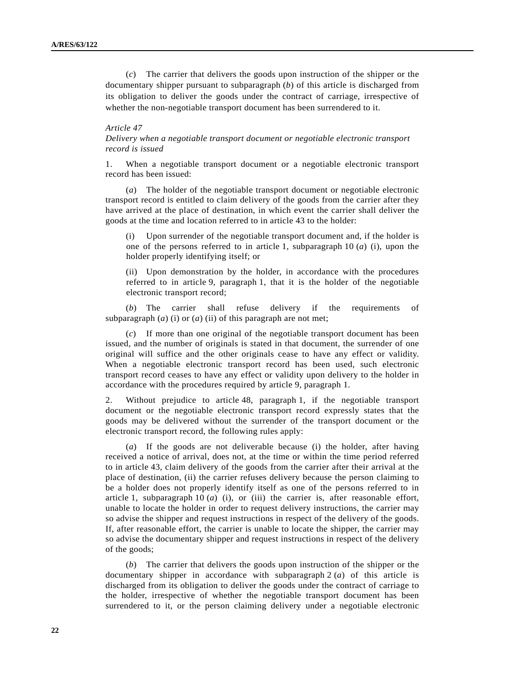(*c*) The carrier that delivers the goods upon instruction of the shipper or the documentary shipper pursuant to subparagraph (*b*) of this article is discharged from its obligation to deliver the goods under the contract of carriage, irrespective of whether the non-negotiable transport document has been surrendered to it.

### *Article 47*

# *Delivery when a negotiable transport document or negotiable electronic transport record is issued*

1. When a negotiable transport document or a negotiable electronic transport record has been issued:

 (*a*) The holder of the negotiable transport document or negotiable electronic transport record is entitled to claim delivery of the goods from the carrier after they have arrived at the place of destination, in which event the carrier shall deliver the goods at the time and location referred to in article 43 to the holder:

 (i) Upon surrender of the negotiable transport document and, if the holder is one of the persons referred to in article 1, subparagraph 10 (*a*) (i), upon the holder properly identifying itself; or

 (ii) Upon demonstration by the holder, in accordance with the procedures referred to in article 9, paragraph 1, that it is the holder of the negotiable electronic transport record;

 (*b*) The carrier shall refuse delivery if the requirements of subparagraph (*a*) (i) or (*a*) (ii) of this paragraph are not met;

 (*c*) If more than one original of the negotiable transport document has been issued, and the number of originals is stated in that document, the surrender of one original will suffice and the other originals cease to have any effect or validity. When a negotiable electronic transport record has been used, such electronic transport record ceases to have any effect or validity upon delivery to the holder in accordance with the procedures required by article 9, paragraph 1.

2. Without prejudice to article 48, paragraph 1, if the negotiable transport document or the negotiable electronic transport record expressly states that the goods may be delivered without the surrender of the transport document or the electronic transport record, the following rules apply:

 (*a*) If the goods are not deliverable because (i) the holder, after having received a notice of arrival, does not, at the time or within the time period referred to in article 43, claim delivery of the goods from the carrier after their arrival at the place of destination, (ii) the carrier refuses delivery because the person claiming to be a holder does not properly identify itself as one of the persons referred to in article 1, subparagraph  $10(a)$  (i), or (iii) the carrier is, after reasonable effort, unable to locate the holder in order to request delivery instructions, the carrier may so advise the shipper and request instructions in respect of the delivery of the goods. If, after reasonable effort, the carrier is unable to locate the shipper, the carrier may so advise the documentary shipper and request instructions in respect of the delivery of the goods;

 (*b*) The carrier that delivers the goods upon instruction of the shipper or the documentary shipper in accordance with subparagraph 2 (*a*) of this article is discharged from its obligation to deliver the goods under the contract of carriage to the holder, irrespective of whether the negotiable transport document has been surrendered to it, or the person claiming delivery under a negotiable electronic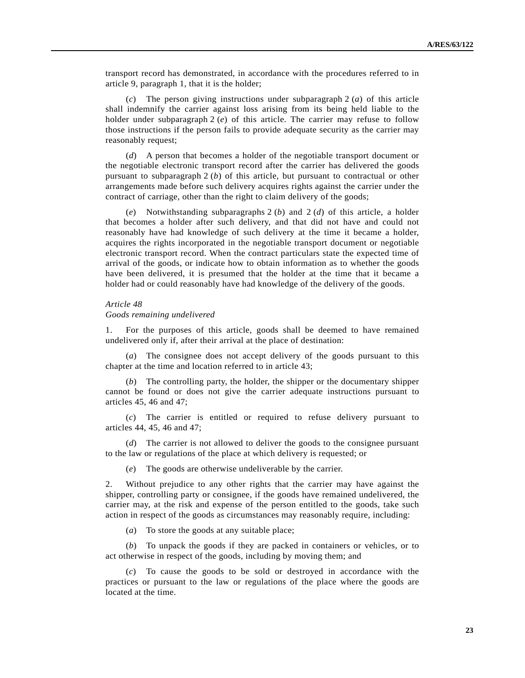transport record has demonstrated, in accordance with the procedures referred to in article 9, paragraph 1, that it is the holder;

 (*c*) The person giving instructions under subparagraph 2 (*a*) of this article shall indemnify the carrier against loss arising from its being held liable to the holder under subparagraph 2 (*e*) of this article. The carrier may refuse to follow those instructions if the person fails to provide adequate security as the carrier may reasonably request;

 (*d*) A person that becomes a holder of the negotiable transport document or the negotiable electronic transport record after the carrier has delivered the goods pursuant to subparagraph 2 (*b*) of this article, but pursuant to contractual or other arrangements made before such delivery acquires rights against the carrier under the contract of carriage, other than the right to claim delivery of the goods;

 (*e*) Notwithstanding subparagraphs 2 (*b*) and 2 (*d*) of this article, a holder that becomes a holder after such delivery, and that did not have and could not reasonably have had knowledge of such delivery at the time it became a holder, acquires the rights incorporated in the negotiable transport document or negotiable electronic transport record. When the contract particulars state the expected time of arrival of the goods, or indicate how to obtain information as to whether the goods have been delivered, it is presumed that the holder at the time that it became a holder had or could reasonably have had knowledge of the delivery of the goods.

#### *Article 48*

### *Goods remaining undelivered*

1. For the purposes of this article, goods shall be deemed to have remained undelivered only if, after their arrival at the place of destination:

 (*a*) The consignee does not accept delivery of the goods pursuant to this chapter at the time and location referred to in article 43;

 (*b*) The controlling party, the holder, the shipper or the documentary shipper cannot be found or does not give the carrier adequate instructions pursuant to articles 45, 46 and 47;

 (*c*) The carrier is entitled or required to refuse delivery pursuant to articles 44, 45, 46 and 47;

 (*d*) The carrier is not allowed to deliver the goods to the consignee pursuant to the law or regulations of the place at which delivery is requested; or

(*e*) The goods are otherwise undeliverable by the carrier.

2. Without prejudice to any other rights that the carrier may have against the shipper, controlling party or consignee, if the goods have remained undelivered, the carrier may, at the risk and expense of the person entitled to the goods, take such action in respect of the goods as circumstances may reasonably require, including:

(*a*) To store the goods at any suitable place;

 (*b*) To unpack the goods if they are packed in containers or vehicles, or to act otherwise in respect of the goods, including by moving them; and

 (*c*) To cause the goods to be sold or destroyed in accordance with the practices or pursuant to the law or regulations of the place where the goods are located at the time.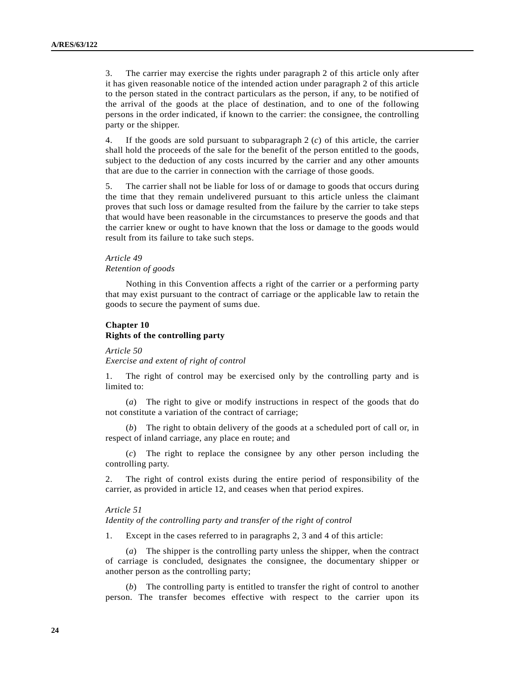3. The carrier may exercise the rights under paragraph 2 of this article only after it has given reasonable notice of the intended action under paragraph 2 of this article to the person stated in the contract particulars as the person, if any, to be notified of the arrival of the goods at the place of destination, and to one of the following persons in the order indicated, if known to the carrier: the consignee, the controlling party or the shipper.

4. If the goods are sold pursuant to subparagraph 2 (*c*) of this article, the carrier shall hold the proceeds of the sale for the benefit of the person entitled to the goods, subject to the deduction of any costs incurred by the carrier and any other amounts that are due to the carrier in connection with the carriage of those goods.

5. The carrier shall not be liable for loss of or damage to goods that occurs during the time that they remain undelivered pursuant to this article unless the claimant proves that such loss or damage resulted from the failure by the carrier to take steps that would have been reasonable in the circumstances to preserve the goods and that the carrier knew or ought to have known that the loss or damage to the goods would result from its failure to take such steps.

# *Article 49 Retention of goods*

 Nothing in this Convention affects a right of the carrier or a performing party that may exist pursuant to the contract of carriage or the applicable law to retain the goods to secure the payment of sums due.

# **Chapter 10 Rights of the controlling party**

*Article 50* 

*Exercise and extent of right of control* 

1. The right of control may be exercised only by the controlling party and is limited to:

 (*a*) The right to give or modify instructions in respect of the goods that do not constitute a variation of the contract of carriage;

 (*b*) The right to obtain delivery of the goods at a scheduled port of call or, in respect of inland carriage, any place en route; and

 (*c*) The right to replace the consignee by any other person including the controlling party.

2. The right of control exists during the entire period of responsibility of the carrier, as provided in article 12, and ceases when that period expires.

## *Article 51*

*Identity of the controlling party and transfer of the right of control* 

1. Except in the cases referred to in paragraphs 2, 3 and 4 of this article:

 (*a*) The shipper is the controlling party unless the shipper, when the contract of carriage is concluded, designates the consignee, the documentary shipper or another person as the controlling party;

 (*b*) The controlling party is entitled to transfer the right of control to another person. The transfer becomes effective with respect to the carrier upon its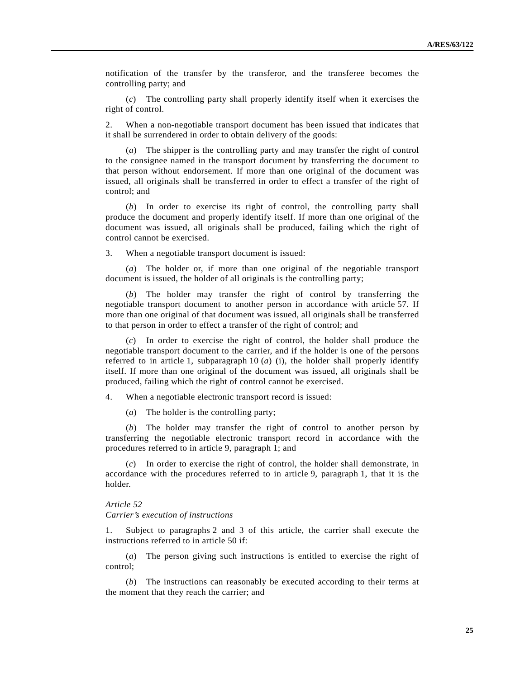notification of the transfer by the transferor, and the transferee becomes the controlling party; and

 (*c*) The controlling party shall properly identify itself when it exercises the right of control.

2. When a non-negotiable transport document has been issued that indicates that it shall be surrendered in order to obtain delivery of the goods:

 (*a*) The shipper is the controlling party and may transfer the right of control to the consignee named in the transport document by transferring the document to that person without endorsement. If more than one original of the document was issued, all originals shall be transferred in order to effect a transfer of the right of control; and

 (*b*) In order to exercise its right of control, the controlling party shall produce the document and properly identify itself. If more than one original of the document was issued, all originals shall be produced, failing which the right of control cannot be exercised.

3. When a negotiable transport document is issued:

 (*a*) The holder or, if more than one original of the negotiable transport document is issued, the holder of all originals is the controlling party;

 (*b*) The holder may transfer the right of control by transferring the negotiable transport document to another person in accordance with article 57. If more than one original of that document was issued, all originals shall be transferred to that person in order to effect a transfer of the right of control; and

In order to exercise the right of control, the holder shall produce the negotiable transport document to the carrier, and if the holder is one of the persons referred to in article 1, subparagraph  $10(a)$  (i), the holder shall properly identify itself. If more than one original of the document was issued, all originals shall be produced, failing which the right of control cannot be exercised.

4. When a negotiable electronic transport record is issued:

(*a*) The holder is the controlling party;

 (*b*) The holder may transfer the right of control to another person by transferring the negotiable electronic transport record in accordance with the procedures referred to in article 9, paragraph 1; and

 (*c*) In order to exercise the right of control, the holder shall demonstrate, in accordance with the procedures referred to in article 9, paragraph 1, that it is the holder.

### *Article 52*

*Carrier's execution of instructions* 

1. Subject to paragraphs 2 and 3 of this article, the carrier shall execute the instructions referred to in article 50 if:

 (*a*) The person giving such instructions is entitled to exercise the right of control;

 (*b*) The instructions can reasonably be executed according to their terms at the moment that they reach the carrier; and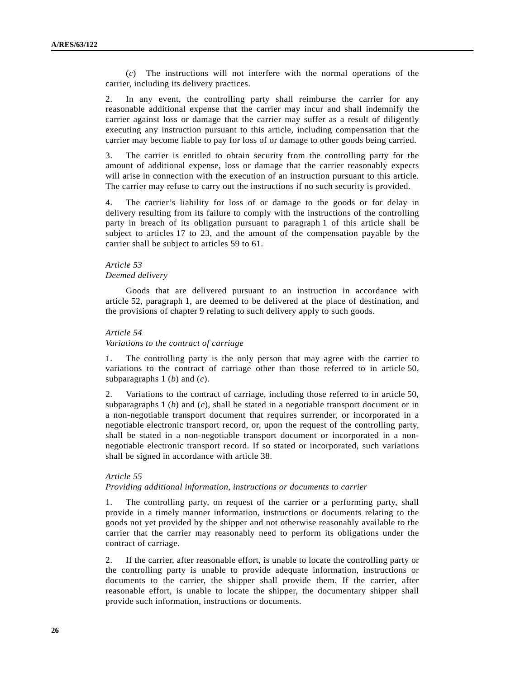(*c*) The instructions will not interfere with the normal operations of the carrier, including its delivery practices.

2. In any event, the controlling party shall reimburse the carrier for any reasonable additional expense that the carrier may incur and shall indemnify the carrier against loss or damage that the carrier may suffer as a result of diligently executing any instruction pursuant to this article, including compensation that the carrier may become liable to pay for loss of or damage to other goods being carried.

3. The carrier is entitled to obtain security from the controlling party for the amount of additional expense, loss or damage that the carrier reasonably expects will arise in connection with the execution of an instruction pursuant to this article. The carrier may refuse to carry out the instructions if no such security is provided.

4. The carrier's liability for loss of or damage to the goods or for delay in delivery resulting from its failure to comply with the instructions of the controlling party in breach of its obligation pursuant to paragraph 1 of this article shall be subject to articles 17 to 23, and the amount of the compensation payable by the carrier shall be subject to articles 59 to 61.

# *Article 53 Deemed delivery*

 Goods that are delivered pursuant to an instruction in accordance with article 52, paragraph 1, are deemed to be delivered at the place of destination, and the provisions of chapter 9 relating to such delivery apply to such goods.

# *Article 54*

# *Variations to the contract of carriage*

1. The controlling party is the only person that may agree with the carrier to variations to the contract of carriage other than those referred to in article 50, subparagraphs 1 (*b*) and (*c*).

2. Variations to the contract of carriage, including those referred to in article 50, subparagraphs 1 (*b*) and (*c*), shall be stated in a negotiable transport document or in a non-negotiable transport document that requires surrender, or incorporated in a negotiable electronic transport record, or, upon the request of the controlling party, shall be stated in a non-negotiable transport document or incorporated in a nonnegotiable electronic transport record. If so stated or incorporated, such variations shall be signed in accordance with article 38.

#### *Article 55*

### *Providing additional information, instructions or documents to carrier*

1. The controlling party, on request of the carrier or a performing party, shall provide in a timely manner information, instructions or documents relating to the goods not yet provided by the shipper and not otherwise reasonably available to the carrier that the carrier may reasonably need to perform its obligations under the contract of carriage.

2. If the carrier, after reasonable effort, is unable to locate the controlling party or the controlling party is unable to provide adequate information, instructions or documents to the carrier, the shipper shall provide them. If the carrier, after reasonable effort, is unable to locate the shipper, the documentary shipper shall provide such information, instructions or documents.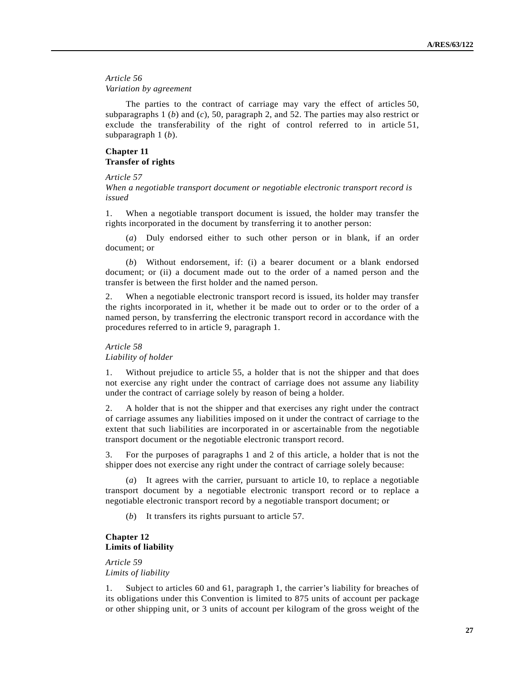# *Article 56 Variation by agreement*

 The parties to the contract of carriage may vary the effect of articles 50, subparagraphs 1 (*b*) and (*c*), 50, paragraph 2, and 52. The parties may also restrict or exclude the transferability of the right of control referred to in article 51, subparagraph 1 (*b*).

# **Chapter 11 Transfer of rights**

#### *Article 57*

*When a negotiable transport document or negotiable electronic transport record is issued* 

1. When a negotiable transport document is issued, the holder may transfer the rights incorporated in the document by transferring it to another person:

 (*a*) Duly endorsed either to such other person or in blank, if an order document; or

 (*b*) Without endorsement, if: (i) a bearer document or a blank endorsed document; or (ii) a document made out to the order of a named person and the transfer is between the first holder and the named person.

2. When a negotiable electronic transport record is issued, its holder may transfer the rights incorporated in it, whether it be made out to order or to the order of a named person, by transferring the electronic transport record in accordance with the procedures referred to in article 9, paragraph 1.

## *Article 58 Liability of holder*

1. Without prejudice to article 55, a holder that is not the shipper and that does not exercise any right under the contract of carriage does not assume any liability under the contract of carriage solely by reason of being a holder.

2. A holder that is not the shipper and that exercises any right under the contract of carriage assumes any liabilities imposed on it under the contract of carriage to the extent that such liabilities are incorporated in or ascertainable from the negotiable transport document or the negotiable electronic transport record.

3. For the purposes of paragraphs 1 and 2 of this article, a holder that is not the shipper does not exercise any right under the contract of carriage solely because:

 (*a*) It agrees with the carrier, pursuant to article 10, to replace a negotiable transport document by a negotiable electronic transport record or to replace a negotiable electronic transport record by a negotiable transport document; or

(*b*) It transfers its rights pursuant to article 57.

# **Chapter 12 Limits of liability**

*Article 59 Limits of liability* 

1. Subject to articles 60 and 61, paragraph 1, the carrier's liability for breaches of its obligations under this Convention is limited to 875 units of account per package or other shipping unit, or 3 units of account per kilogram of the gross weight of the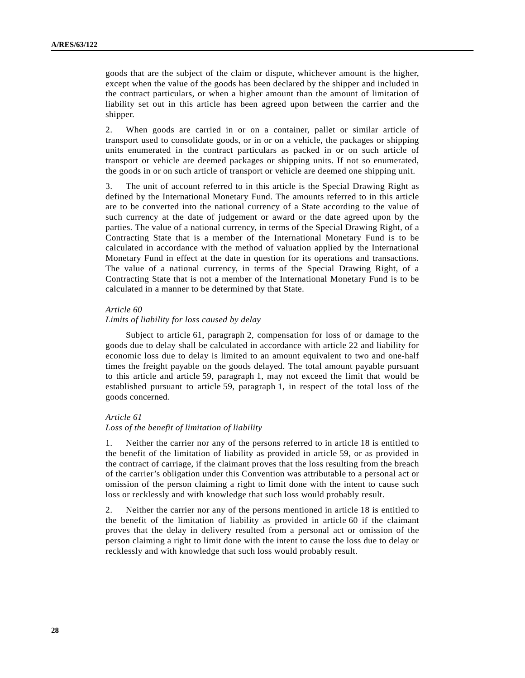goods that are the subject of the claim or dispute, whichever amount is the higher, except when the value of the goods has been declared by the shipper and included in the contract particulars, or when a higher amount than the amount of limitation of liability set out in this article has been agreed upon between the carrier and the shipper.

2. When goods are carried in or on a container, pallet or similar article of transport used to consolidate goods, or in or on a vehicle, the packages or shipping units enumerated in the contract particulars as packed in or on such article of transport or vehicle are deemed packages or shipping units. If not so enumerated, the goods in or on such article of transport or vehicle are deemed one shipping unit.

3. The unit of account referred to in this article is the Special Drawing Right as defined by the International Monetary Fund. The amounts referred to in this article are to be converted into the national currency of a State according to the value of such currency at the date of judgement or award or the date agreed upon by the parties. The value of a national currency, in terms of the Special Drawing Right, of a Contracting State that is a member of the International Monetary Fund is to be calculated in accordance with the method of valuation applied by the International Monetary Fund in effect at the date in question for its operations and transactions. The value of a national currency, in terms of the Special Drawing Right, of a Contracting State that is not a member of the International Monetary Fund is to be calculated in a manner to be determined by that State.

#### *Article 60*

### *Limits of liability for loss caused by delay*

 Subject to article 61, paragraph 2, compensation for loss of or damage to the goods due to delay shall be calculated in accordance with article 22 and liability for economic loss due to delay is limited to an amount equivalent to two and one-half times the freight payable on the goods delayed. The total amount payable pursuant to this article and article 59, paragraph 1, may not exceed the limit that would be established pursuant to article 59, paragraph 1, in respect of the total loss of the goods concerned.

### *Article 61*

#### *Loss of the benefit of limitation of liability*

1. Neither the carrier nor any of the persons referred to in article 18 is entitled to the benefit of the limitation of liability as provided in article 59, or as provided in the contract of carriage, if the claimant proves that the loss resulting from the breach of the carrier's obligation under this Convention was attributable to a personal act or omission of the person claiming a right to limit done with the intent to cause such loss or recklessly and with knowledge that such loss would probably result.

2. Neither the carrier nor any of the persons mentioned in article 18 is entitled to the benefit of the limitation of liability as provided in article 60 if the claimant proves that the delay in delivery resulted from a personal act or omission of the person claiming a right to limit done with the intent to cause the loss due to delay or recklessly and with knowledge that such loss would probably result.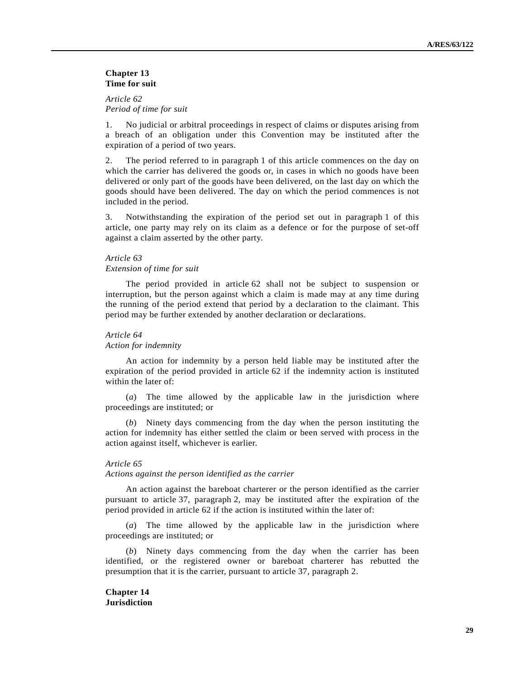## **Chapter 13 Time for suit**

*Article 62 Period of time for suit* 

1. No judicial or arbitral proceedings in respect of claims or disputes arising from a breach of an obligation under this Convention may be instituted after the expiration of a period of two years.

2. The period referred to in paragraph 1 of this article commences on the day on which the carrier has delivered the goods or, in cases in which no goods have been delivered or only part of the goods have been delivered, on the last day on which the goods should have been delivered. The day on which the period commences is not included in the period.

3. Notwithstanding the expiration of the period set out in paragraph 1 of this article, one party may rely on its claim as a defence or for the purpose of set-off against a claim asserted by the other party.

# *Article 63 Extension of time for suit*

 The period provided in article 62 shall not be subject to suspension or interruption, but the person against which a claim is made may at any time during the running of the period extend that period by a declaration to the claimant. This period may be further extended by another declaration or declarations.

# *Article 64*

### *Action for indemnity*

 An action for indemnity by a person held liable may be instituted after the expiration of the period provided in article 62 if the indemnity action is instituted within the later of:

 (*a*) The time allowed by the applicable law in the jurisdiction where proceedings are instituted; or

 (*b*) Ninety days commencing from the day when the person instituting the action for indemnity has either settled the claim or been served with process in the action against itself, whichever is earlier.

# *Article 65*

### *Actions against the person identified as the carrier*

 An action against the bareboat charterer or the person identified as the carrier pursuant to article 37, paragraph 2, may be instituted after the expiration of the period provided in article 62 if the action is instituted within the later of:

 (*a*) The time allowed by the applicable law in the jurisdiction where proceedings are instituted; or

 (*b*) Ninety days commencing from the day when the carrier has been identified, or the registered owner or bareboat charterer has rebutted the presumption that it is the carrier, pursuant to article 37, paragraph 2.

**Chapter 14 Jurisdiction**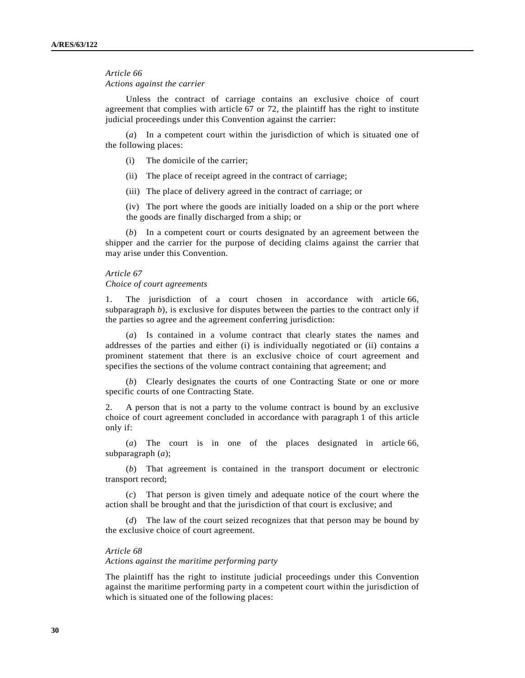# *Article 66*

*Actions against the carrier* 

 Unless the contract of carriage contains an exclusive choice of court agreement that complies with article 67 or 72, the plaintiff has the right to institute judicial proceedings under this Convention against the carrier:

 (*a*) In a competent court within the jurisdiction of which is situated one of the following places:

- (i) The domicile of the carrier;
- (ii) The place of receipt agreed in the contract of carriage;
- (iii) The place of delivery agreed in the contract of carriage; or

 (iv) The port where the goods are initially loaded on a ship or the port where the goods are finally discharged from a ship; or

 (*b*) In a competent court or courts designated by an agreement between the shipper and the carrier for the purpose of deciding claims against the carrier that may arise under this Convention.

# *Article 67*

#### *Choice of court agreements*

1. The jurisdiction of a court chosen in accordance with article 66, subparagraph *b*), is exclusive for disputes between the parties to the contract only if the parties so agree and the agreement conferring jurisdiction:

 (*a*) Is contained in a volume contract that clearly states the names and addresses of the parties and either (i) is individually negotiated or (ii) contains a prominent statement that there is an exclusive choice of court agreement and specifies the sections of the volume contract containing that agreement; and

 (*b*) Clearly designates the courts of one Contracting State or one or more specific courts of one Contracting State.

2. A person that is not a party to the volume contract is bound by an exclusive choice of court agreement concluded in accordance with paragraph 1 of this article only if:

 (*a*) The court is in one of the places designated in article 66, subparagraph (*a*);

 (*b*) That agreement is contained in the transport document or electronic transport record;

 (*c*) That person is given timely and adequate notice of the court where the action shall be brought and that the jurisdiction of that court is exclusive; and

 (*d*) The law of the court seized recognizes that that person may be bound by the exclusive choice of court agreement.

#### *Article 68*

*Actions against the maritime performing party*

The plaintiff has the right to institute judicial proceedings under this Convention against the maritime performing party in a competent court within the jurisdiction of which is situated one of the following places: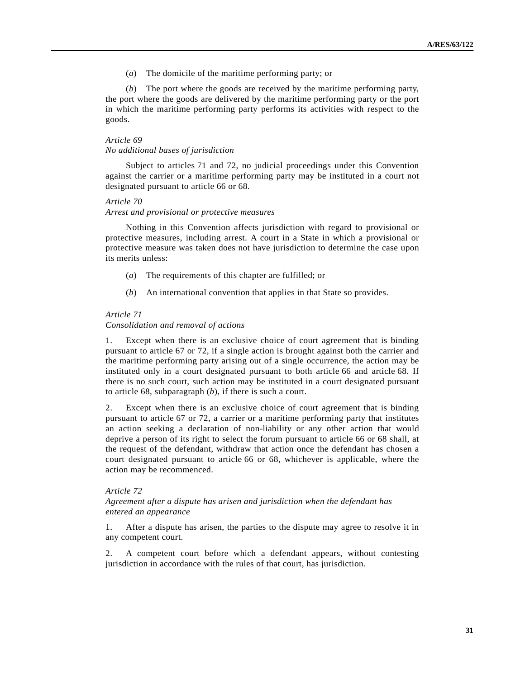(*a*) The domicile of the maritime performing party; or

 (*b*) The port where the goods are received by the maritime performing party, the port where the goods are delivered by the maritime performing party or the port in which the maritime performing party performs its activities with respect to the goods.

# *Article 69*

### *No additional bases of jurisdiction*

 Subject to articles 71 and 72, no judicial proceedings under this Convention against the carrier or a maritime performing party may be instituted in a court not designated pursuant to article 66 or 68.

# *Article 70*

### *Arrest and provisional or protective measures*

 Nothing in this Convention affects jurisdiction with regard to provisional or protective measures, including arrest. A court in a State in which a provisional or protective measure was taken does not have jurisdiction to determine the case upon its merits unless:

- (*a*) The requirements of this chapter are fulfilled; or
- (*b*) An international convention that applies in that State so provides.

# *Article 71*

### *Consolidation and removal of actions*

1. Except when there is an exclusive choice of court agreement that is binding pursuant to article 67 or 72, if a single action is brought against both the carrier and the maritime performing party arising out of a single occurrence, the action may be instituted only in a court designated pursuant to both article 66 and article 68. If there is no such court, such action may be instituted in a court designated pursuant to article 68, subparagraph (*b*), if there is such a court.

2. Except when there is an exclusive choice of court agreement that is binding pursuant to article 67 or 72, a carrier or a maritime performing party that institutes an action seeking a declaration of non-liability or any other action that would deprive a person of its right to select the forum pursuant to article 66 or 68 shall, at the request of the defendant, withdraw that action once the defendant has chosen a court designated pursuant to article 66 or 68, whichever is applicable, where the action may be recommenced.

#### *Article 72*

### *Agreement after a dispute has arisen and jurisdiction when the defendant has entered an appearance*

1. After a dispute has arisen, the parties to the dispute may agree to resolve it in any competent court.

2. A competent court before which a defendant appears, without contesting jurisdiction in accordance with the rules of that court, has jurisdiction.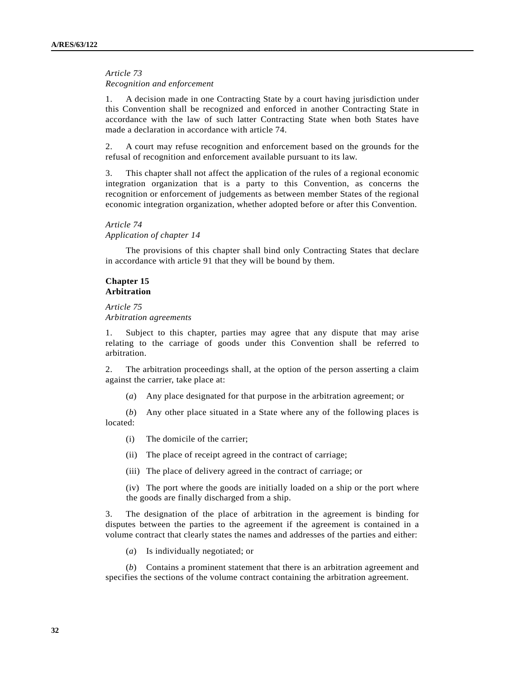*Article 73* 

*Recognition and enforcement* 

1. A decision made in one Contracting State by a court having jurisdiction under this Convention shall be recognized and enforced in another Contracting State in accordance with the law of such latter Contracting State when both States have made a declaration in accordance with article 74.

2. A court may refuse recognition and enforcement based on the grounds for the refusal of recognition and enforcement available pursuant to its law.

3. This chapter shall not affect the application of the rules of a regional economic integration organization that is a party to this Convention, as concerns the recognition or enforcement of judgements as between member States of the regional economic integration organization, whether adopted before or after this Convention.

# *Article 74*

*Application of chapter 14* 

 The provisions of this chapter shall bind only Contracting States that declare in accordance with article 91 that they will be bound by them.

# **Chapter 15 Arbitration**

*Article 75 Arbitration agreements* 

1. Subject to this chapter, parties may agree that any dispute that may arise relating to the carriage of goods under this Convention shall be referred to arbitration.

2. The arbitration proceedings shall, at the option of the person asserting a claim against the carrier, take place at:

(*a*) Any place designated for that purpose in the arbitration agreement; or

 (*b*) Any other place situated in a State where any of the following places is located:

- (i) The domicile of the carrier;
- (ii) The place of receipt agreed in the contract of carriage;

(iii) The place of delivery agreed in the contract of carriage; or

 (iv) The port where the goods are initially loaded on a ship or the port where the goods are finally discharged from a ship.

3. The designation of the place of arbitration in the agreement is binding for disputes between the parties to the agreement if the agreement is contained in a volume contract that clearly states the names and addresses of the parties and either:

(*a*) Is individually negotiated; or

 (*b*) Contains a prominent statement that there is an arbitration agreement and specifies the sections of the volume contract containing the arbitration agreement.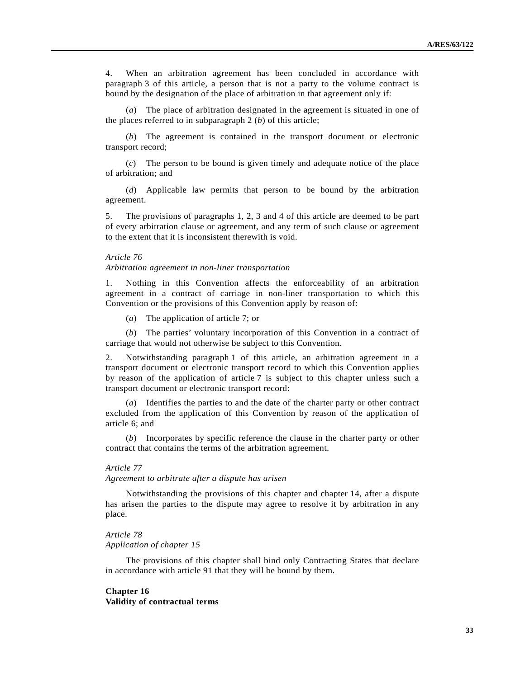4. When an arbitration agreement has been concluded in accordance with paragraph 3 of this article, a person that is not a party to the volume contract is bound by the designation of the place of arbitration in that agreement only if:

 (*a*) The place of arbitration designated in the agreement is situated in one of the places referred to in subparagraph 2 (*b*) of this article;

 (*b*) The agreement is contained in the transport document or electronic transport record;

 (*c*) The person to be bound is given timely and adequate notice of the place of arbitration; and

 (*d*) Applicable law permits that person to be bound by the arbitration agreement.

5. The provisions of paragraphs 1, 2, 3 and 4 of this article are deemed to be part of every arbitration clause or agreement, and any term of such clause or agreement to the extent that it is inconsistent therewith is void.

### *Article 76*

# *Arbitration agreement in non-liner transportation*

1. Nothing in this Convention affects the enforceability of an arbitration agreement in a contract of carriage in non-liner transportation to which this Convention or the provisions of this Convention apply by reason of:

(*a*) The application of article 7; or

 (*b*) The parties' voluntary incorporation of this Convention in a contract of carriage that would not otherwise be subject to this Convention.

2. Notwithstanding paragraph 1 of this article, an arbitration agreement in a transport document or electronic transport record to which this Convention applies by reason of the application of article 7 is subject to this chapter unless such a transport document or electronic transport record:

 (*a*) Identifies the parties to and the date of the charter party or other contract excluded from the application of this Convention by reason of the application of article 6; and

 (*b*) Incorporates by specific reference the clause in the charter party or other contract that contains the terms of the arbitration agreement.

#### *Article 77*

*Agreement to arbitrate after a dispute has arisen* 

 Notwithstanding the provisions of this chapter and chapter 14, after a dispute has arisen the parties to the dispute may agree to resolve it by arbitration in any place.

# *Article 78 Application of chapter 15*

 The provisions of this chapter shall bind only Contracting States that declare in accordance with article 91 that they will be bound by them.

# **Chapter 16 Validity of contractual terms**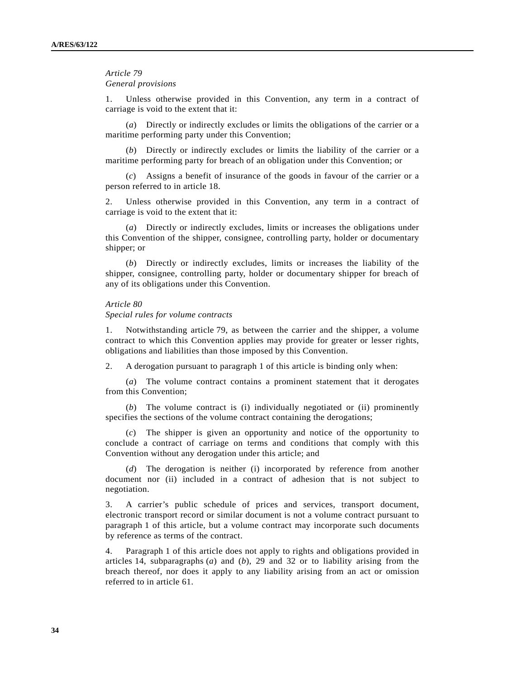### *Article 79 General provisions*

Unless otherwise provided in this Convention, any term in a contract of carriage is void to the extent that it:

 (*a*) Directly or indirectly excludes or limits the obligations of the carrier or a maritime performing party under this Convention;

 (*b*) Directly or indirectly excludes or limits the liability of the carrier or a maritime performing party for breach of an obligation under this Convention; or

 (*c*) Assigns a benefit of insurance of the goods in favour of the carrier or a person referred to in article 18.

2. Unless otherwise provided in this Convention, any term in a contract of carriage is void to the extent that it:

 (*a*) Directly or indirectly excludes, limits or increases the obligations under this Convention of the shipper, consignee, controlling party, holder or documentary shipper; or

 (*b*) Directly or indirectly excludes, limits or increases the liability of the shipper, consignee, controlling party, holder or documentary shipper for breach of any of its obligations under this Convention.

#### *Article 80*

*Special rules for volume contracts* 

1. Notwithstanding article 79, as between the carrier and the shipper, a volume contract to which this Convention applies may provide for greater or lesser rights, obligations and liabilities than those imposed by this Convention.

2. A derogation pursuant to paragraph 1 of this article is binding only when:

 (*a*) The volume contract contains a prominent statement that it derogates from this Convention;

 (*b*) The volume contract is (i) individually negotiated or (ii) prominently specifies the sections of the volume contract containing the derogations;

 (*c*) The shipper is given an opportunity and notice of the opportunity to conclude a contract of carriage on terms and conditions that comply with this Convention without any derogation under this article; and

 (*d*) The derogation is neither (i) incorporated by reference from another document nor (ii) included in a contract of adhesion that is not subject to negotiation.

3. A carrier's public schedule of prices and services, transport document, electronic transport record or similar document is not a volume contract pursuant to paragraph 1 of this article, but a volume contract may incorporate such documents by reference as terms of the contract.

4. Paragraph 1 of this article does not apply to rights and obligations provided in articles 14, subparagraphs (*a*) and (*b*), 29 and 32 or to liability arising from the breach thereof, nor does it apply to any liability arising from an act or omission referred to in article 61.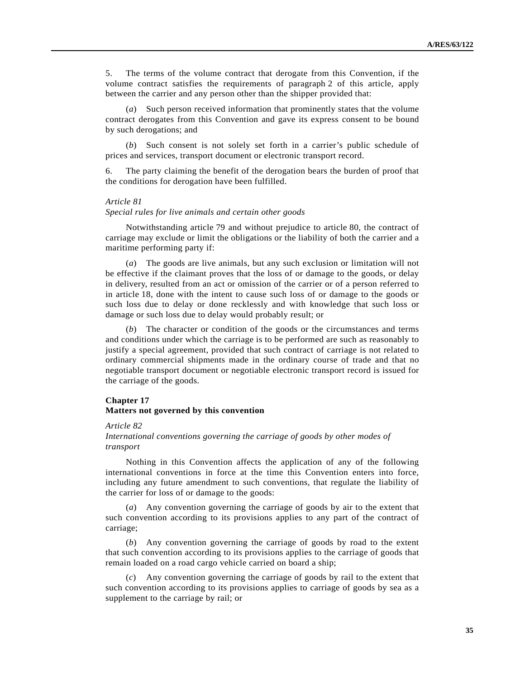5. The terms of the volume contract that derogate from this Convention, if the volume contract satisfies the requirements of paragraph 2 of this article, apply between the carrier and any person other than the shipper provided that:

 (*a*) Such person received information that prominently states that the volume contract derogates from this Convention and gave its express consent to be bound by such derogations; and

 (*b*) Such consent is not solely set forth in a carrier's public schedule of prices and services, transport document or electronic transport record.

6. The party claiming the benefit of the derogation bears the burden of proof that the conditions for derogation have been fulfilled.

# *Article 81*

*Special rules for live animals and certain other goods* 

 Notwithstanding article 79 and without prejudice to article 80, the contract of carriage may exclude or limit the obligations or the liability of both the carrier and a maritime performing party if:

 (*a*) The goods are live animals, but any such exclusion or limitation will not be effective if the claimant proves that the loss of or damage to the goods, or delay in delivery, resulted from an act or omission of the carrier or of a person referred to in article 18, done with the intent to cause such loss of or damage to the goods or such loss due to delay or done recklessly and with knowledge that such loss or damage or such loss due to delay would probably result; or

 (*b*) The character or condition of the goods or the circumstances and terms and conditions under which the carriage is to be performed are such as reasonably to justify a special agreement, provided that such contract of carriage is not related to ordinary commercial shipments made in the ordinary course of trade and that no negotiable transport document or negotiable electronic transport record is issued for the carriage of the goods.

# **Chapter 17**

### **Matters not governed by this convention**

#### *Article 82*

# *International conventions governing the carriage of goods by other modes of transport*

 Nothing in this Convention affects the application of any of the following international conventions in force at the time this Convention enters into force, including any future amendment to such conventions, that regulate the liability of the carrier for loss of or damage to the goods:

 (*a*) Any convention governing the carriage of goods by air to the extent that such convention according to its provisions applies to any part of the contract of carriage;

 (*b*) Any convention governing the carriage of goods by road to the extent that such convention according to its provisions applies to the carriage of goods that remain loaded on a road cargo vehicle carried on board a ship;

 (*c*) Any convention governing the carriage of goods by rail to the extent that such convention according to its provisions applies to carriage of goods by sea as a supplement to the carriage by rail; or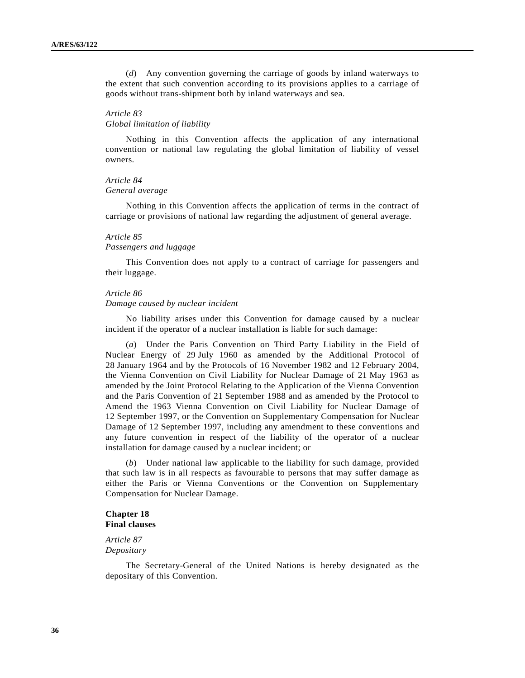(*d*) Any convention governing the carriage of goods by inland waterways to the extent that such convention according to its provisions applies to a carriage of goods without trans-shipment both by inland waterways and sea.

### *Article 83 Global limitation of liability*

 Nothing in this Convention affects the application of any international convention or national law regulating the global limitation of liability of vessel owners.

# *Article 84*

# *General average*

 Nothing in this Convention affects the application of terms in the contract of carriage or provisions of national law regarding the adjustment of general average.

#### *Article 85*

### *Passengers and luggage*

 This Convention does not apply to a contract of carriage for passengers and their luggage.

#### *Article 86*

### *Damage caused by nuclear incident*

 No liability arises under this Convention for damage caused by a nuclear incident if the operator of a nuclear installation is liable for such damage:

 (*a*) Under the Paris Convention on Third Party Liability in the Field of Nuclear Energy of 29 July 1960 as amended by the Additional Protocol of 28 January 1964 and by the Protocols of 16 November 1982 and 12 February 2004, the Vienna Convention on Civil Liability for Nuclear Damage of 21 May 1963 as amended by the Joint Protocol Relating to the Application of the Vienna Convention and the Paris Convention of 21 September 1988 and as amended by the Protocol to Amend the 1963 Vienna Convention on Civil Liability for Nuclear Damage of 12 September 1997, or the Convention on Supplementary Compensation for Nuclear Damage of 12 September 1997, including any amendment to these conventions and any future convention in respect of the liability of the operator of a nuclear installation for damage caused by a nuclear incident; or

 (*b*) Under national law applicable to the liability for such damage, provided that such law is in all respects as favourable to persons that may suffer damage as either the Paris or Vienna Conventions or the Convention on Supplementary Compensation for Nuclear Damage.

# **Chapter 18 Final clauses**

### *Article 87 Depositary*

 The Secretary-General of the United Nations is hereby designated as the depositary of this Convention.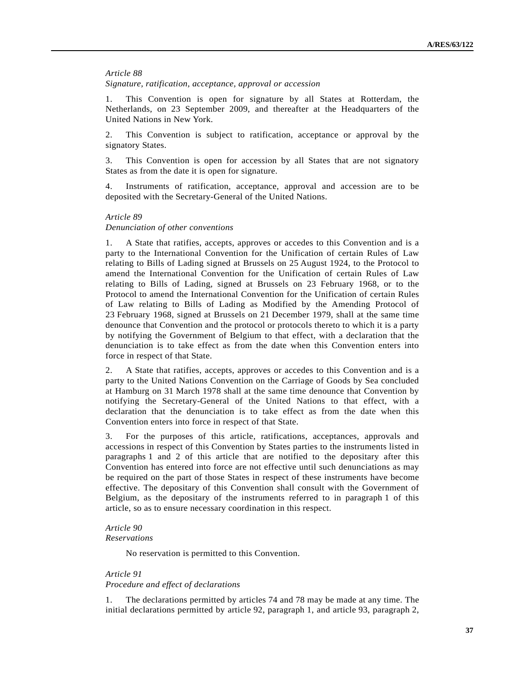#### *Article 88*

*Signature, ratification, acceptance, approval or accession* 

1. This Convention is open for signature by all States at Rotterdam, the Netherlands, on 23 September 2009, and thereafter at the Headquarters of the United Nations in New York.

2. This Convention is subject to ratification, acceptance or approval by the signatory States.

3. This Convention is open for accession by all States that are not signatory States as from the date it is open for signature.

4. Instruments of ratification, acceptance, approval and accession are to be deposited with the Secretary-General of the United Nations.

### *Article 89*

# *Denunciation of other conventions*

1. A State that ratifies, accepts, approves or accedes to this Convention and is a party to the International Convention for the Unification of certain Rules of Law relating to Bills of Lading signed at Brussels on 25 August 1924, to the Protocol to amend the International Convention for the Unification of certain Rules of Law relating to Bills of Lading, signed at Brussels on 23 February 1968, or to the Protocol to amend the International Convention for the Unification of certain Rules of Law relating to Bills of Lading as Modified by the Amending Protocol of 23 February 1968, signed at Brussels on 21 December 1979, shall at the same time denounce that Convention and the protocol or protocols thereto to which it is a party by notifying the Government of Belgium to that effect, with a declaration that the denunciation is to take effect as from the date when this Convention enters into force in respect of that State.

2. A State that ratifies, accepts, approves or accedes to this Convention and is a party to the United Nations Convention on the Carriage of Goods by Sea concluded at Hamburg on 31 March 1978 shall at the same time denounce that Convention by notifying the Secretary-General of the United Nations to that effect, with a declaration that the denunciation is to take effect as from the date when this Convention enters into force in respect of that State.

3. For the purposes of this article, ratifications, acceptances, approvals and accessions in respect of this Convention by States parties to the instruments listed in paragraphs 1 and 2 of this article that are notified to the depositary after this Convention has entered into force are not effective until such denunciations as may be required on the part of those States in respect of these instruments have become effective. The depositary of this Convention shall consult with the Government of Belgium, as the depositary of the instruments referred to in paragraph 1 of this article, so as to ensure necessary coordination in this respect.

## *Article 90 Reservations*

No reservation is permitted to this Convention.

# *Article 91*

# *Procedure and effect of declarations*

1. The declarations permitted by articles 74 and 78 may be made at any time. The initial declarations permitted by article 92, paragraph 1, and article 93, paragraph 2,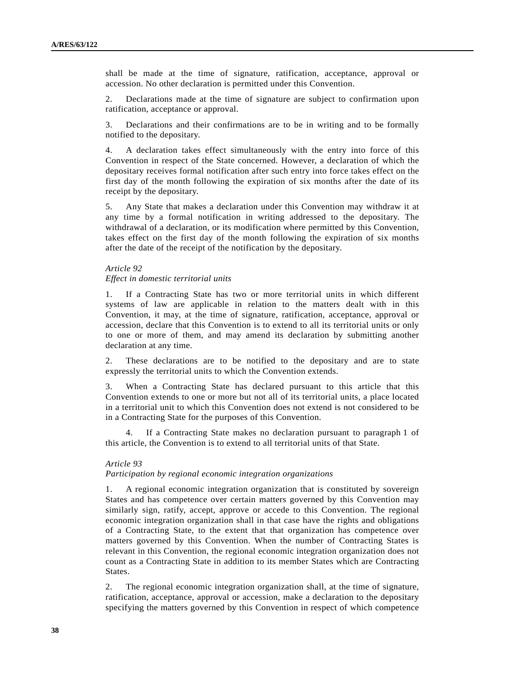shall be made at the time of signature, ratification, acceptance, approval or accession. No other declaration is permitted under this Convention.

2. Declarations made at the time of signature are subject to confirmation upon ratification, acceptance or approval.

3. Declarations and their confirmations are to be in writing and to be formally notified to the depositary.

4. A declaration takes effect simultaneously with the entry into force of this Convention in respect of the State concerned. However, a declaration of which the depositary receives formal notification after such entry into force takes effect on the first day of the month following the expiration of six months after the date of its receipt by the depositary.

5. Any State that makes a declaration under this Convention may withdraw it at any time by a formal notification in writing addressed to the depositary. The withdrawal of a declaration, or its modification where permitted by this Convention, takes effect on the first day of the month following the expiration of six months after the date of the receipt of the notification by the depositary.

### *Article 92*

# *Effect in domestic territorial units*

1. If a Contracting State has two or more territorial units in which different systems of law are applicable in relation to the matters dealt with in this Convention, it may, at the time of signature, ratification, acceptance, approval or accession, declare that this Convention is to extend to all its territorial units or only to one or more of them, and may amend its declaration by submitting another declaration at any time.

2. These declarations are to be notified to the depositary and are to state expressly the territorial units to which the Convention extends.

3. When a Contracting State has declared pursuant to this article that this Convention extends to one or more but not all of its territorial units, a place located in a territorial unit to which this Convention does not extend is not considered to be in a Contracting State for the purposes of this Convention.

 4. If a Contracting State makes no declaration pursuant to paragraph 1 of this article, the Convention is to extend to all territorial units of that State.

#### *Article 93*

### *Participation by regional economic integration organizations*

1. A regional economic integration organization that is constituted by sovereign States and has competence over certain matters governed by this Convention may similarly sign, ratify, accept, approve or accede to this Convention. The regional economic integration organization shall in that case have the rights and obligations of a Contracting State, to the extent that that organization has competence over matters governed by this Convention. When the number of Contracting States is relevant in this Convention, the regional economic integration organization does not count as a Contracting State in addition to its member States which are Contracting States.

2. The regional economic integration organization shall, at the time of signature, ratification, acceptance, approval or accession, make a declaration to the depositary specifying the matters governed by this Convention in respect of which competence